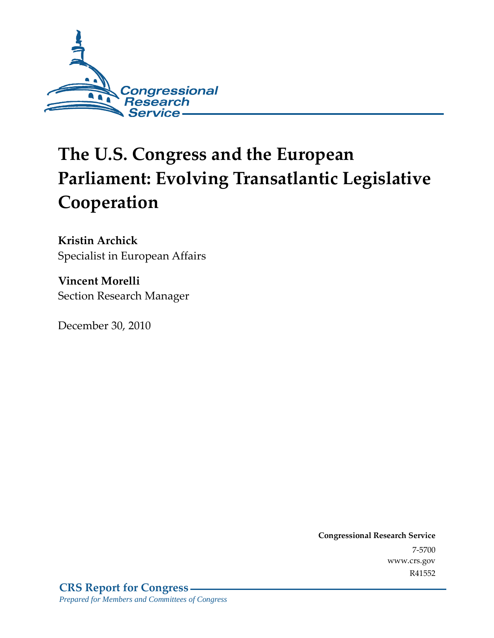

# **The U.S. Congress and the European Parliament: Evolving Transatlantic Legislative Cooperation**

**Kristin Archick**  Specialist in European Affairs

**Vincent Morelli**  Section Research Manager

December 30, 2010

**Congressional Research Service** 7-5700 www.crs.gov R41552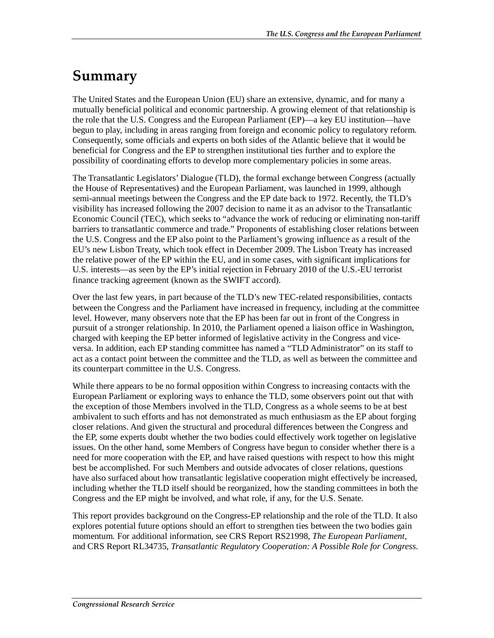### **Summary**

The United States and the European Union (EU) share an extensive, dynamic, and for many a mutually beneficial political and economic partnership. A growing element of that relationship is the role that the U.S. Congress and the European Parliament (EP)—a key EU institution—have begun to play, including in areas ranging from foreign and economic policy to regulatory reform. Consequently, some officials and experts on both sides of the Atlantic believe that it would be beneficial for Congress and the EP to strengthen institutional ties further and to explore the possibility of coordinating efforts to develop more complementary policies in some areas.

The Transatlantic Legislators' Dialogue (TLD), the formal exchange between Congress (actually the House of Representatives) and the European Parliament, was launched in 1999, although semi-annual meetings between the Congress and the EP date back to 1972. Recently, the TLD's visibility has increased following the 2007 decision to name it as an advisor to the Transatlantic Economic Council (TEC), which seeks to "advance the work of reducing or eliminating non-tariff barriers to transatlantic commerce and trade." Proponents of establishing closer relations between the U.S. Congress and the EP also point to the Parliament's growing influence as a result of the EU's new Lisbon Treaty, which took effect in December 2009. The Lisbon Treaty has increased the relative power of the EP within the EU, and in some cases, with significant implications for U.S. interests—as seen by the EP's initial rejection in February 2010 of the U.S.-EU terrorist finance tracking agreement (known as the SWIFT accord).

Over the last few years, in part because of the TLD's new TEC-related responsibilities, contacts between the Congress and the Parliament have increased in frequency, including at the committee level. However, many observers note that the EP has been far out in front of the Congress in pursuit of a stronger relationship. In 2010, the Parliament opened a liaison office in Washington, charged with keeping the EP better informed of legislative activity in the Congress and viceversa. In addition, each EP standing committee has named a "TLD Administrator" on its staff to act as a contact point between the committee and the TLD, as well as between the committee and its counterpart committee in the U.S. Congress.

While there appears to be no formal opposition within Congress to increasing contacts with the European Parliament or exploring ways to enhance the TLD, some observers point out that with the exception of those Members involved in the TLD, Congress as a whole seems to be at best ambivalent to such efforts and has not demonstrated as much enthusiasm as the EP about forging closer relations. And given the structural and procedural differences between the Congress and the EP, some experts doubt whether the two bodies could effectively work together on legislative issues. On the other hand, some Members of Congress have begun to consider whether there is a need for more cooperation with the EP, and have raised questions with respect to how this might best be accomplished. For such Members and outside advocates of closer relations, questions have also surfaced about how transatlantic legislative cooperation might effectively be increased, including whether the TLD itself should be reorganized, how the standing committees in both the Congress and the EP might be involved, and what role, if any, for the U.S. Senate.

This report provides background on the Congress-EP relationship and the role of the TLD. It also explores potential future options should an effort to strengthen ties between the two bodies gain momentum. For additional information, see CRS Report RS21998, *The European Parliament*, and CRS Report RL34735, *Transatlantic Regulatory Cooperation: A Possible Role for Congress*.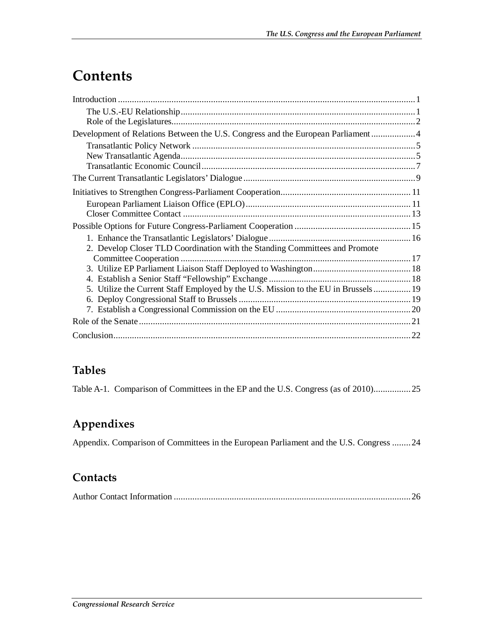### **Contents**

| Development of Relations Between the U.S. Congress and the European Parliament 4   |  |
|------------------------------------------------------------------------------------|--|
|                                                                                    |  |
|                                                                                    |  |
|                                                                                    |  |
|                                                                                    |  |
|                                                                                    |  |
|                                                                                    |  |
|                                                                                    |  |
|                                                                                    |  |
|                                                                                    |  |
| 2. Develop Closer TLD Coordination with the Standing Committees and Promote        |  |
|                                                                                    |  |
|                                                                                    |  |
|                                                                                    |  |
| 5. Utilize the Current Staff Employed by the U.S. Mission to the EU in Brussels 19 |  |
|                                                                                    |  |
|                                                                                    |  |
|                                                                                    |  |
|                                                                                    |  |

#### **Tables**

Table A-1. Comparison of Committees in the EP and the U.S. Congress (as of 2010)................25

#### **Appendixes**

Appendix. Comparison of Committees in the European Parliament and the U.S. Congress ........24

#### **Contacts**

|--|--|--|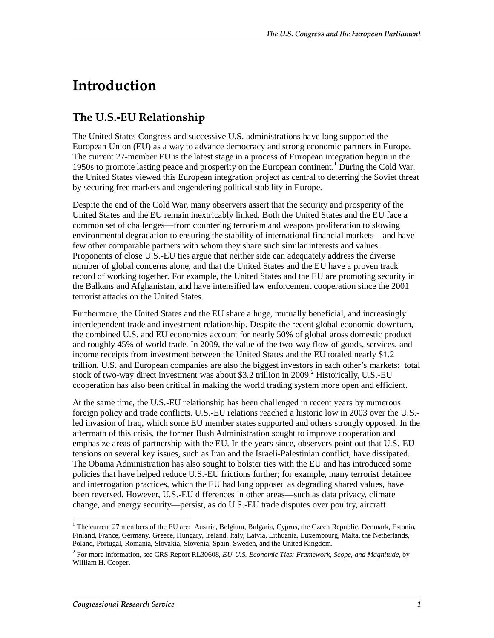### **Introduction**

#### **The U.S.-EU Relationship**

The United States Congress and successive U.S. administrations have long supported the European Union (EU) as a way to advance democracy and strong economic partners in Europe. The current 27-member EU is the latest stage in a process of European integration begun in the 1950s to promote lasting peace and prosperity on the European continent.<sup>1</sup> During the Cold War, the United States viewed this European integration project as central to deterring the Soviet threat by securing free markets and engendering political stability in Europe.

Despite the end of the Cold War, many observers assert that the security and prosperity of the United States and the EU remain inextricably linked. Both the United States and the EU face a common set of challenges—from countering terrorism and weapons proliferation to slowing environmental degradation to ensuring the stability of international financial markets—and have few other comparable partners with whom they share such similar interests and values. Proponents of close U.S.-EU ties argue that neither side can adequately address the diverse number of global concerns alone, and that the United States and the EU have a proven track record of working together. For example, the United States and the EU are promoting security in the Balkans and Afghanistan, and have intensified law enforcement cooperation since the 2001 terrorist attacks on the United States.

Furthermore, the United States and the EU share a huge, mutually beneficial, and increasingly interdependent trade and investment relationship. Despite the recent global economic downturn, the combined U.S. and EU economies account for nearly 50% of global gross domestic product and roughly 45% of world trade. In 2009, the value of the two-way flow of goods, services, and income receipts from investment between the United States and the EU totaled nearly \$1.2 trillion. U.S. and European companies are also the biggest investors in each other's markets: total stock of two-way direct investment was about \$3.2 trillion in 2009.<sup>2</sup> Historically, U.S.-EU cooperation has also been critical in making the world trading system more open and efficient.

At the same time, the U.S.-EU relationship has been challenged in recent years by numerous foreign policy and trade conflicts. U.S.-EU relations reached a historic low in 2003 over the U.S. led invasion of Iraq, which some EU member states supported and others strongly opposed. In the aftermath of this crisis, the former Bush Administration sought to improve cooperation and emphasize areas of partnership with the EU. In the years since, observers point out that U.S.-EU tensions on several key issues, such as Iran and the Israeli-Palestinian conflict, have dissipated. The Obama Administration has also sought to bolster ties with the EU and has introduced some policies that have helped reduce U.S.-EU frictions further; for example, many terrorist detainee and interrogation practices, which the EU had long opposed as degrading shared values, have been reversed. However, U.S.-EU differences in other areas—such as data privacy, climate change, and energy security—persist, as do U.S.-EU trade disputes over poultry, aircraft

<sup>&</sup>lt;u>.</u> <sup>1</sup> The current 27 members of the EU are: Austria, Belgium, Bulgaria, Cyprus, the Czech Republic, Denmark, Estonia, Finland, France, Germany, Greece, Hungary, Ireland, Italy, Latvia, Lithuania, Luxembourg, Malta, the Netherlands, Poland, Portugal, Romania, Slovakia, Slovenia, Spain, Sweden, and the United Kingdom.

<sup>2</sup> For more information, see CRS Report RL30608, *EU-U.S. Economic Ties: Framework, Scope, and Magnitude*, by William H. Cooper.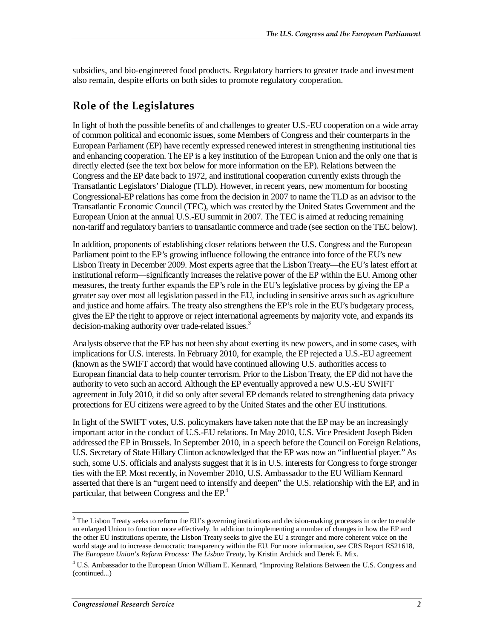subsidies, and bio-engineered food products. Regulatory barriers to greater trade and investment also remain, despite efforts on both sides to promote regulatory cooperation.

### **Role of the Legislatures**

In light of both the possible benefits of and challenges to greater U.S.-EU cooperation on a wide array of common political and economic issues, some Members of Congress and their counterparts in the European Parliament (EP) have recently expressed renewed interest in strengthening institutional ties and enhancing cooperation. The EP is a key institution of the European Union and the only one that is directly elected (see the text box below for more information on the EP). Relations between the Congress and the EP date back to 1972, and institutional cooperation currently exists through the Transatlantic Legislators' Dialogue (TLD). However, in recent years, new momentum for boosting Congressional-EP relations has come from the decision in 2007 to name the TLD as an advisor to the Transatlantic Economic Council (TEC), which was created by the United States Government and the European Union at the annual U.S.-EU summit in 2007. The TEC is aimed at reducing remaining non-tariff and regulatory barriers to transatlantic commerce and trade (see section on the TEC below).

In addition, proponents of establishing closer relations between the U.S. Congress and the European Parliament point to the EP's growing influence following the entrance into force of the EU's new Lisbon Treaty in December 2009. Most experts agree that the Lisbon Treaty—the EU's latest effort at institutional reform—significantly increases the relative power of the EP within the EU. Among other measures, the treaty further expands the EP's role in the EU's legislative process by giving the EP a greater say over most all legislation passed in the EU, including in sensitive areas such as agriculture and justice and home affairs. The treaty also strengthens the EP's role in the EU's budgetary process, gives the EP the right to approve or reject international agreements by majority vote, and expands its decision-making authority over trade-related issues.<sup>3</sup>

Analysts observe that the EP has not been shy about exerting its new powers, and in some cases, with implications for U.S. interests. In February 2010, for example, the EP rejected a U.S.-EU agreement (known as the SWIFT accord) that would have continued allowing U.S. authorities access to European financial data to help counter terrorism. Prior to the Lisbon Treaty, the EP did not have the authority to veto such an accord. Although the EP eventually approved a new U.S.-EU SWIFT agreement in July 2010, it did so only after several EP demands related to strengthening data privacy protections for EU citizens were agreed to by the United States and the other EU institutions.

In light of the SWIFT votes, U.S. policymakers have taken note that the EP may be an increasingly important actor in the conduct of U.S.-EU relations. In May 2010, U.S. Vice President Joseph Biden addressed the EP in Brussels. In September 2010, in a speech before the Council on Foreign Relations, U.S. Secretary of State Hillary Clinton acknowledged that the EP was now an "influential player." As such, some U.S. officials and analysts suggest that it is in U.S. interests for Congress to forge stronger ties with the EP. Most recently, in November 2010, U.S. Ambassador to the EU William Kennard asserted that there is an "urgent need to intensify and deepen" the U.S. relationship with the EP, and in particular, that between Congress and the  $EP<sup>4</sup>$ .

<sup>&</sup>lt;sup>3</sup> The Lisbon Treaty seeks to reform the EU's governing institutions and decision-making processes in order to enable an enlarged Union to function more effectively. In addition to implementing a number of changes in how the EP and the other EU institutions operate, the Lisbon Treaty seeks to give the EU a stronger and more coherent voice on the world stage and to increase democratic transparency within the EU. For more information, see CRS Report RS21618, *The European Union's Reform Process: The Lisbon Treaty*, by Kristin Archick and Derek E. Mix.

<sup>&</sup>lt;sup>4</sup> U.S. Ambassador to the European Union William E. Kennard, "Improving Relations Between the U.S. Congress and (continued...)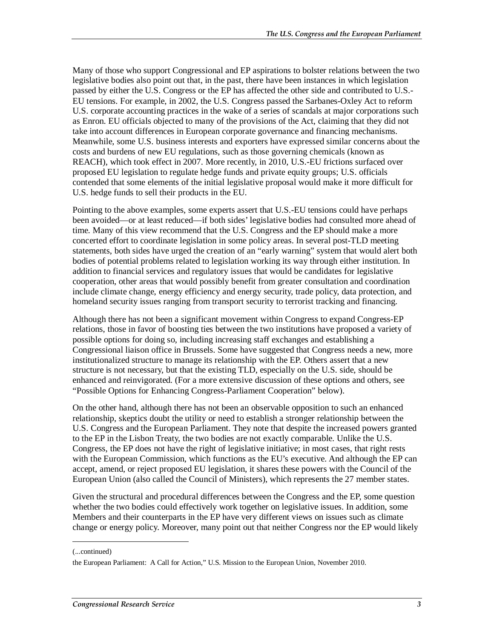Many of those who support Congressional and EP aspirations to bolster relations between the two legislative bodies also point out that, in the past, there have been instances in which legislation passed by either the U.S. Congress or the EP has affected the other side and contributed to U.S.- EU tensions. For example, in 2002, the U.S. Congress passed the Sarbanes-Oxley Act to reform U.S. corporate accounting practices in the wake of a series of scandals at major corporations such as Enron. EU officials objected to many of the provisions of the Act, claiming that they did not take into account differences in European corporate governance and financing mechanisms. Meanwhile, some U.S. business interests and exporters have expressed similar concerns about the costs and burdens of new EU regulations, such as those governing chemicals (known as REACH), which took effect in 2007. More recently, in 2010, U.S.-EU frictions surfaced over proposed EU legislation to regulate hedge funds and private equity groups; U.S. officials contended that some elements of the initial legislative proposal would make it more difficult for U.S. hedge funds to sell their products in the EU.

Pointing to the above examples, some experts assert that U.S.-EU tensions could have perhaps been avoided—or at least reduced—if both sides' legislative bodies had consulted more ahead of time. Many of this view recommend that the U.S. Congress and the EP should make a more concerted effort to coordinate legislation in some policy areas. In several post-TLD meeting statements, both sides have urged the creation of an "early warning" system that would alert both bodies of potential problems related to legislation working its way through either institution. In addition to financial services and regulatory issues that would be candidates for legislative cooperation, other areas that would possibly benefit from greater consultation and coordination include climate change, energy efficiency and energy security, trade policy, data protection, and homeland security issues ranging from transport security to terrorist tracking and financing.

Although there has not been a significant movement within Congress to expand Congress-EP relations, those in favor of boosting ties between the two institutions have proposed a variety of possible options for doing so, including increasing staff exchanges and establishing a Congressional liaison office in Brussels. Some have suggested that Congress needs a new, more institutionalized structure to manage its relationship with the EP. Others assert that a new structure is not necessary, but that the existing TLD, especially on the U.S. side, should be enhanced and reinvigorated. (For a more extensive discussion of these options and others, see "Possible Options for Enhancing Congress-Parliament Cooperation" below).

On the other hand, although there has not been an observable opposition to such an enhanced relationship, skeptics doubt the utility or need to establish a stronger relationship between the U.S. Congress and the European Parliament. They note that despite the increased powers granted to the EP in the Lisbon Treaty, the two bodies are not exactly comparable. Unlike the U.S. Congress, the EP does not have the right of legislative initiative; in most cases, that right rests with the European Commission, which functions as the EU's executive. And although the EP can accept, amend, or reject proposed EU legislation, it shares these powers with the Council of the European Union (also called the Council of Ministers), which represents the 27 member states.

Given the structural and procedural differences between the Congress and the EP, some question whether the two bodies could effectively work together on legislative issues. In addition, some Members and their counterparts in the EP have very different views on issues such as climate change or energy policy. Moreover, many point out that neither Congress nor the EP would likely

1

<sup>(...</sup>continued)

the European Parliament: A Call for Action," U.S. Mission to the European Union, November 2010.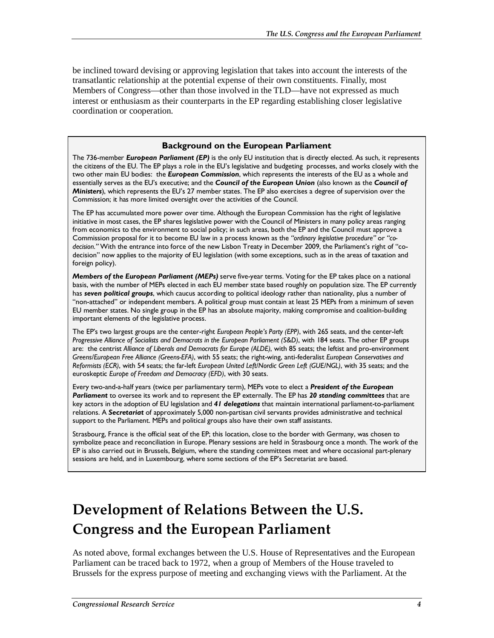be inclined toward devising or approving legislation that takes into account the interests of the transatlantic relationship at the potential expense of their own constituents. Finally, most Members of Congress—other than those involved in the TLD—have not expressed as much interest or enthusiasm as their counterparts in the EP regarding establishing closer legislative coordination or cooperation.

#### **Background on the European Parliament**

The 736-member *European Parliament (EP)* is the only EU institution that is directly elected. As such, it represents the citizens of the EU. The EP plays a role in the EU's legislative and budgeting processes, and works closely with the two other main EU bodies: the *European Commission*, which represents the interests of the EU as a whole and essentially serves as the EU's executive; and the *Council of the European Union* (also known as the *Council of Ministers*), which represents the EU's 27 member states. The EP also exercises a degree of supervision over the Commission; it has more limited oversight over the activities of the Council.

The EP has accumulated more power over time. Although the European Commission has the right of legislative initiative in most cases, the EP shares legislative power with the Council of Ministers in many policy areas ranging from economics to the environment to social policy; in such areas, both the EP and the Council must approve a Commission proposal for it to become EU law in a process known as the *"ordinary legislative procedure"* or *"codecision."* With the entrance into force of the new Lisbon Treaty in December 2009, the Parliament's right of "codecision" now applies to the majority of EU legislation (with some exceptions, such as in the areas of taxation and foreign policy).

*Members of the European Parliament (MEPs)* serve five-year terms. Voting for the EP takes place on a national basis, with the number of MEPs elected in each EU member state based roughly on population size. The EP currently has *seven political groups*, which caucus according to political ideology rather than nationality, plus a number of "non-attached" or independent members. A political group must contain at least 25 MEPs from a minimum of seven EU member states. No single group in the EP has an absolute majority, making compromise and coalition-building important elements of the legislative process.

The EP's two largest groups are the center-right *European People's Party (EPP)*, with 265 seats, and the center-left *Progressive Alliance of Socialists and Democrats in the European Parliament (S&D)*, with 184 seats. The other EP groups are: the centrist *Alliance of Liberals and Democrats for Europe (ALDE)*, with 85 seats; the leftist and pro-environment *Greens/European Free Alliance (Greens-EFA)*, with 55 seats; the right-wing, anti-federalist *European Conservatives and Reformists (ECR)*, with 54 seats; the far-left *European United Left/Nordic Green Left (GUE/NGL)*, with 35 seats; and the euroskeptic *Europe of Freedom and Democracy (EFD)*, with 30 seats.

Every two-and-a-half years (twice per parliamentary term), MEPs vote to elect a *President of the European Parliament* to oversee its work and to represent the EP externally. The EP has *20 standing committees* that are key actors in the adoption of EU legislation and *41 delegations* that maintain international parliament-to-parliament relations. A *Secretariat* of approximately 5,000 non-partisan civil servants provides administrative and technical support to the Parliament. MEPs and political groups also have their own staff assistants.

Strasbourg, France is the official seat of the EP; this location, close to the border with Germany, was chosen to symbolize peace and reconciliation in Europe. Plenary sessions are held in Strasbourg once a month. The work of the EP is also carried out in Brussels, Belgium, where the standing committees meet and where occasional part-plenary sessions are held, and in Luxembourg, where some sections of the EP's Secretariat are based.

### **Development of Relations Between the U.S. Congress and the European Parliament**

As noted above, formal exchanges between the U.S. House of Representatives and the European Parliament can be traced back to 1972, when a group of Members of the House traveled to Brussels for the express purpose of meeting and exchanging views with the Parliament. At the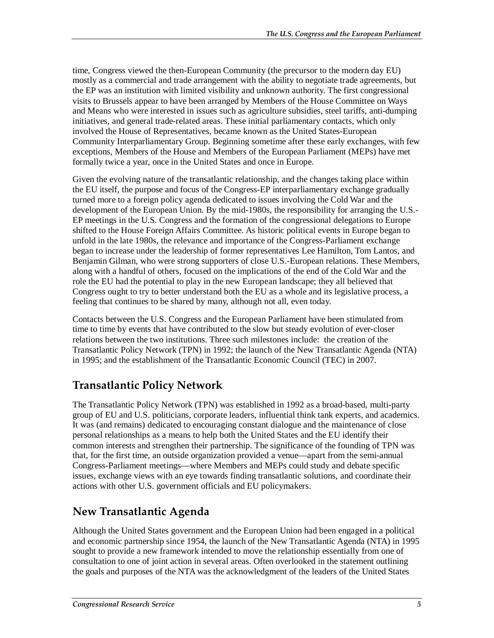time, Congress viewed the then-European Community (the precursor to the modern day EU) mostly as a commercial and trade arrangement with the ability to negotiate trade agreements, but the EP was an institution with limited visibility and unknown authority. The first congressional visits to Brussels appear to have been arranged by Members of the House Committee on Ways and Means who were interested in issues such as agriculture subsidies, steel tariffs, anti-dumping initiatives, and general trade-related areas. These initial parliamentary contacts, which only involved the House of Representatives, became known as the United States-European Community Interparliamentary Group. Beginning sometime after these early exchanges, with few exceptions, Members of the House and Members of the European Parliament (MEPs) have met formally twice a year, once in the United States and once in Europe.

Given the evolving nature of the transatlantic relationship, and the changes taking place within the EU itself, the purpose and focus of the Congress-EP interparliamentary exchange gradually turned more to a foreign policy agenda dedicated to issues involving the Cold War and the development of the European Union. By the mid-1980s, the responsibility for arranging the U.S.- EP meetings in the U.S. Congress and the formation of the congressional delegations to Europe shifted to the House Foreign Affairs Committee. As historic political events in Europe began to unfold in the late 1980s, the relevance and importance of the Congress-Parliament exchange began to increase under the leadership of former representatives Lee Hamilton, Tom Lantos, and Benjamin Gilman, who were strong supporters of close U.S.-European relations. These Members, along with a handful of others, focused on the implications of the end of the Cold War and the role the EU had the potential to play in the new European landscape; they all believed that Congress ought to try to better understand both the EU as a whole and its legislative process, a feeling that continues to be shared by many, although not all, even today.

Contacts between the U.S. Congress and the European Parliament have been stimulated from time to time by events that have contributed to the slow but steady evolution of ever-closer relations between the two institutions. Three such milestones include: the creation of the Transatlantic Policy Network (TPN) in 1992; the launch of the New Transatlantic Agenda (NTA) in 1995; and the establishment of the Transatlantic Economic Council (TEC) in 2007.

#### **Transatlantic Policy Network**

The Transatlantic Policy Network (TPN) was established in 1992 as a broad-based, multi-party group of EU and U.S. politicians, corporate leaders, influential think tank experts, and academics. It was (and remains) dedicated to encouraging constant dialogue and the maintenance of close personal relationships as a means to help both the United States and the EU identify their common interests and strengthen their partnership. The significance of the founding of TPN was that, for the first time, an outside organization provided a venue—apart from the semi-annual Congress-Parliament meetings—where Members and MEPs could study and debate specific issues, exchange views with an eye towards finding transatlantic solutions, and coordinate their actions with other U.S. government officials and EU policymakers.

#### **New Transatlantic Agenda**

Although the United States government and the European Union had been engaged in a political and economic partnership since 1954, the launch of the New Transatlantic Agenda (NTA) in 1995 sought to provide a new framework intended to move the relationship essentially from one of consultation to one of joint action in several areas. Often overlooked in the statement outlining the goals and purposes of the NTA was the acknowledgment of the leaders of the United States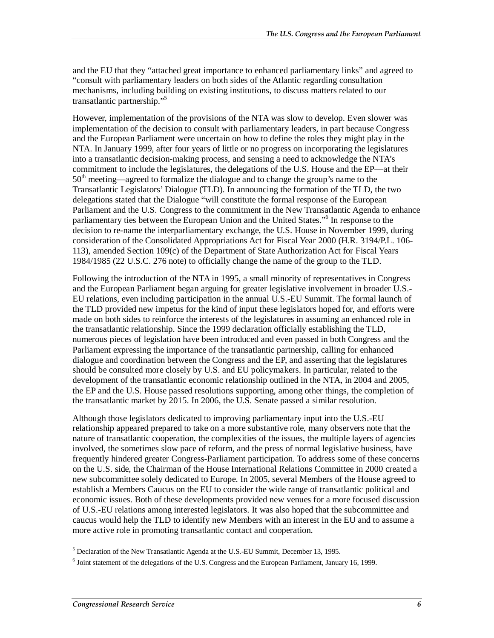and the EU that they "attached great importance to enhanced parliamentary links" and agreed to "consult with parliamentary leaders on both sides of the Atlantic regarding consultation mechanisms, including building on existing institutions, to discuss matters related to our transatlantic partnership."5

However, implementation of the provisions of the NTA was slow to develop. Even slower was implementation of the decision to consult with parliamentary leaders, in part because Congress and the European Parliament were uncertain on how to define the roles they might play in the NTA. In January 1999, after four years of little or no progress on incorporating the legislatures into a transatlantic decision-making process, and sensing a need to acknowledge the NTA's commitment to include the legislatures, the delegations of the U.S. House and the EP—at their  $50<sup>th</sup>$  meeting—agreed to formalize the dialogue and to change the group's name to the Transatlantic Legislators' Dialogue (TLD). In announcing the formation of the TLD, the two delegations stated that the Dialogue "will constitute the formal response of the European Parliament and the U.S. Congress to the commitment in the New Transatlantic Agenda to enhance parliamentary ties between the European Union and the United States."<sup>6</sup> In response to the decision to re-name the interparliamentary exchange, the U.S. House in November 1999, during consideration of the Consolidated Appropriations Act for Fiscal Year 2000 (H.R. 3194/P.L. 106- 113), amended Section 109(c) of the Department of State Authorization Act for Fiscal Years 1984/1985 (22 U.S.C. 276 note) to officially change the name of the group to the TLD.

Following the introduction of the NTA in 1995, a small minority of representatives in Congress and the European Parliament began arguing for greater legislative involvement in broader U.S.- EU relations, even including participation in the annual U.S.-EU Summit. The formal launch of the TLD provided new impetus for the kind of input these legislators hoped for, and efforts were made on both sides to reinforce the interests of the legislatures in assuming an enhanced role in the transatlantic relationship. Since the 1999 declaration officially establishing the TLD, numerous pieces of legislation have been introduced and even passed in both Congress and the Parliament expressing the importance of the transatlantic partnership, calling for enhanced dialogue and coordination between the Congress and the EP, and asserting that the legislatures should be consulted more closely by U.S. and EU policymakers. In particular, related to the development of the transatlantic economic relationship outlined in the NTA, in 2004 and 2005, the EP and the U.S. House passed resolutions supporting, among other things, the completion of the transatlantic market by 2015. In 2006, the U.S. Senate passed a similar resolution.

Although those legislators dedicated to improving parliamentary input into the U.S.-EU relationship appeared prepared to take on a more substantive role, many observers note that the nature of transatlantic cooperation, the complexities of the issues, the multiple layers of agencies involved, the sometimes slow pace of reform, and the press of normal legislative business, have frequently hindered greater Congress-Parliament participation. To address some of these concerns on the U.S. side, the Chairman of the House International Relations Committee in 2000 created a new subcommittee solely dedicated to Europe. In 2005, several Members of the House agreed to establish a Members Caucus on the EU to consider the wide range of transatlantic political and economic issues. Both of these developments provided new venues for a more focused discussion of U.S.-EU relations among interested legislators. It was also hoped that the subcommittee and caucus would help the TLD to identify new Members with an interest in the EU and to assume a more active role in promoting transatlantic contact and cooperation.

 $\overline{a}$ <sup>5</sup> Declaration of the New Transatlantic Agenda at the U.S.-EU Summit, December 13, 1995.

<sup>&</sup>lt;sup>6</sup> Joint statement of the delegations of the U.S. Congress and the European Parliament, January 16, 1999.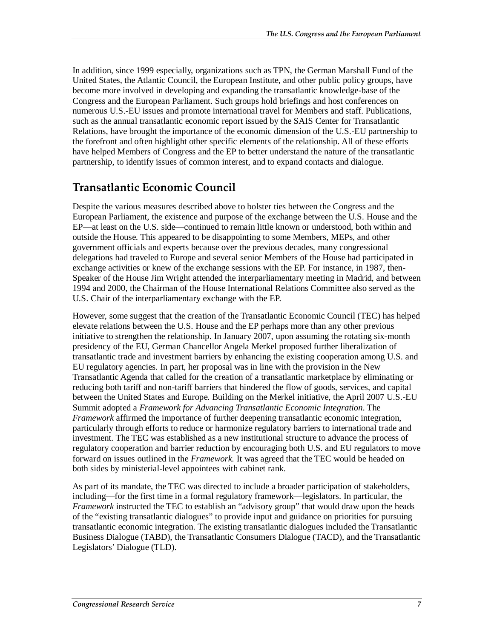In addition, since 1999 especially, organizations such as TPN, the German Marshall Fund of the United States, the Atlantic Council, the European Institute, and other public policy groups, have become more involved in developing and expanding the transatlantic knowledge-base of the Congress and the European Parliament. Such groups hold briefings and host conferences on numerous U.S.-EU issues and promote international travel for Members and staff. Publications, such as the annual transatlantic economic report issued by the SAIS Center for Transatlantic Relations, have brought the importance of the economic dimension of the U.S.-EU partnership to the forefront and often highlight other specific elements of the relationship. All of these efforts have helped Members of Congress and the EP to better understand the nature of the transatlantic partnership, to identify issues of common interest, and to expand contacts and dialogue.

#### **Transatlantic Economic Council**

Despite the various measures described above to bolster ties between the Congress and the European Parliament, the existence and purpose of the exchange between the U.S. House and the EP—at least on the U.S. side—continued to remain little known or understood, both within and outside the House. This appeared to be disappointing to some Members, MEPs, and other government officials and experts because over the previous decades, many congressional delegations had traveled to Europe and several senior Members of the House had participated in exchange activities or knew of the exchange sessions with the EP. For instance, in 1987, then-Speaker of the House Jim Wright attended the interparliamentary meeting in Madrid, and between 1994 and 2000, the Chairman of the House International Relations Committee also served as the U.S. Chair of the interparliamentary exchange with the EP.

However, some suggest that the creation of the Transatlantic Economic Council (TEC) has helped elevate relations between the U.S. House and the EP perhaps more than any other previous initiative to strengthen the relationship. In January 2007, upon assuming the rotating six-month presidency of the EU, German Chancellor Angela Merkel proposed further liberalization of transatlantic trade and investment barriers by enhancing the existing cooperation among U.S. and EU regulatory agencies. In part, her proposal was in line with the provision in the New Transatlantic Agenda that called for the creation of a transatlantic marketplace by eliminating or reducing both tariff and non-tariff barriers that hindered the flow of goods, services, and capital between the United States and Europe. Building on the Merkel initiative, the April 2007 U.S.-EU Summit adopted a *Framework for Advancing Transatlantic Economic Integration*. The *Framework* affirmed the importance of further deepening transatlantic economic integration, particularly through efforts to reduce or harmonize regulatory barriers to international trade and investment. The TEC was established as a new institutional structure to advance the process of regulatory cooperation and barrier reduction by encouraging both U.S. and EU regulators to move forward on issues outlined in the *Framework.* It was agreed that the TEC would be headed on both sides by ministerial-level appointees with cabinet rank.

As part of its mandate, the TEC was directed to include a broader participation of stakeholders, including—for the first time in a formal regulatory framework—legislators. In particular, the *Framework* instructed the TEC to establish an "advisory group" that would draw upon the heads of the "existing transatlantic dialogues" to provide input and guidance on priorities for pursuing transatlantic economic integration. The existing transatlantic dialogues included the Transatlantic Business Dialogue (TABD), the Transatlantic Consumers Dialogue (TACD), and the Transatlantic Legislators' Dialogue (TLD).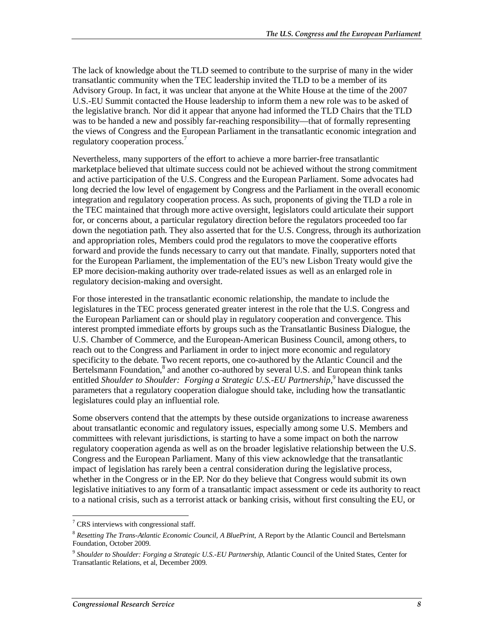The lack of knowledge about the TLD seemed to contribute to the surprise of many in the wider transatlantic community when the TEC leadership invited the TLD to be a member of its Advisory Group. In fact, it was unclear that anyone at the White House at the time of the 2007 U.S.-EU Summit contacted the House leadership to inform them a new role was to be asked of the legislative branch. Nor did it appear that anyone had informed the TLD Chairs that the TLD was to be handed a new and possibly far-reaching responsibility—that of formally representing the views of Congress and the European Parliament in the transatlantic economic integration and regulatory cooperation process.<sup>7</sup>

Nevertheless, many supporters of the effort to achieve a more barrier-free transatlantic marketplace believed that ultimate success could not be achieved without the strong commitment and active participation of the U.S. Congress and the European Parliament. Some advocates had long decried the low level of engagement by Congress and the Parliament in the overall economic integration and regulatory cooperation process. As such, proponents of giving the TLD a role in the TEC maintained that through more active oversight, legislators could articulate their support for, or concerns about, a particular regulatory direction before the regulators proceeded too far down the negotiation path. They also asserted that for the U.S. Congress, through its authorization and appropriation roles, Members could prod the regulators to move the cooperative efforts forward and provide the funds necessary to carry out that mandate. Finally, supporters noted that for the European Parliament, the implementation of the EU's new Lisbon Treaty would give the EP more decision-making authority over trade-related issues as well as an enlarged role in regulatory decision-making and oversight.

For those interested in the transatlantic economic relationship, the mandate to include the legislatures in the TEC process generated greater interest in the role that the U.S. Congress and the European Parliament can or should play in regulatory cooperation and convergence. This interest prompted immediate efforts by groups such as the Transatlantic Business Dialogue, the U.S. Chamber of Commerce, and the European-American Business Council, among others, to reach out to the Congress and Parliament in order to inject more economic and regulatory specificity to the debate. Two recent reports, one co-authored by the Atlantic Council and the Bertelsmann Foundation,<sup>8</sup> and another co-authored by several U.S. and European think tanks entitled Shoulder to Shoulder: Forging a Strategic U.S.-EU Partnership,<sup>9</sup> have discussed the parameters that a regulatory cooperation dialogue should take, including how the transatlantic legislatures could play an influential role.

Some observers contend that the attempts by these outside organizations to increase awareness about transatlantic economic and regulatory issues, especially among some U.S. Members and committees with relevant jurisdictions, is starting to have a some impact on both the narrow regulatory cooperation agenda as well as on the broader legislative relationship between the U.S. Congress and the European Parliament. Many of this view acknowledge that the transatlantic impact of legislation has rarely been a central consideration during the legislative process, whether in the Congress or in the EP. Nor do they believe that Congress would submit its own legislative initiatives to any form of a transatlantic impact assessment or cede its authority to react to a national crisis, such as a terrorist attack or banking crisis, without first consulting the EU, or

 7 CRS interviews with congressional staff.

<sup>&</sup>lt;sup>8</sup> Resetting The Trans-Atlantic Economic Council, A BluePrint, A Report by the Atlantic Council and Bertelsmann Foundation, October 2009.

<sup>9</sup> *Shoulder to Shoulder: Forging a Strategic U.S.-EU Partnership*, Atlantic Council of the United States, Center for Transatlantic Relations, et al, December 2009.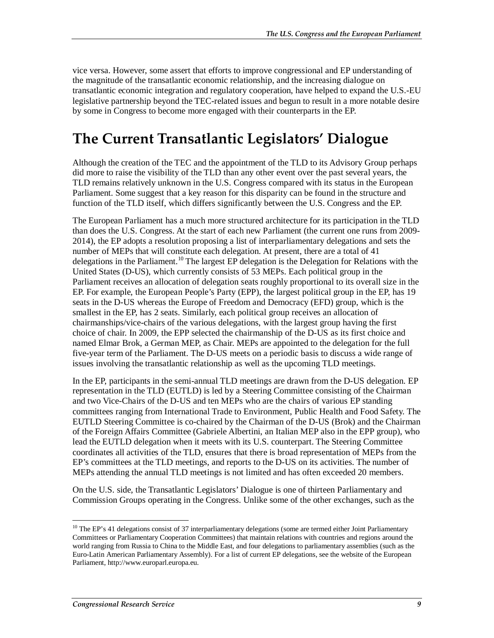vice versa. However, some assert that efforts to improve congressional and EP understanding of the magnitude of the transatlantic economic relationship, and the increasing dialogue on transatlantic economic integration and regulatory cooperation, have helped to expand the U.S.-EU legislative partnership beyond the TEC-related issues and begun to result in a more notable desire by some in Congress to become more engaged with their counterparts in the EP.

### **The Current Transatlantic Legislators' Dialogue**

Although the creation of the TEC and the appointment of the TLD to its Advisory Group perhaps did more to raise the visibility of the TLD than any other event over the past several years, the TLD remains relatively unknown in the U.S. Congress compared with its status in the European Parliament. Some suggest that a key reason for this disparity can be found in the structure and function of the TLD itself, which differs significantly between the U.S. Congress and the EP.

The European Parliament has a much more structured architecture for its participation in the TLD than does the U.S. Congress. At the start of each new Parliament (the current one runs from 2009- 2014), the EP adopts a resolution proposing a list of interparliamentary delegations and sets the number of MEPs that will constitute each delegation. At present, there are a total of 41 delegations in the Parliament.<sup>10</sup> The largest EP delegation is the Delegation for Relations with the United States (D-US), which currently consists of 53 MEPs. Each political group in the Parliament receives an allocation of delegation seats roughly proportional to its overall size in the EP. For example, the European People's Party (EPP), the largest political group in the EP, has 19 seats in the D-US whereas the Europe of Freedom and Democracy (EFD) group, which is the smallest in the EP, has 2 seats. Similarly, each political group receives an allocation of chairmanships/vice-chairs of the various delegations, with the largest group having the first choice of chair. In 2009, the EPP selected the chairmanship of the D-US as its first choice and named Elmar Brok, a German MEP, as Chair. MEPs are appointed to the delegation for the full five-year term of the Parliament. The D-US meets on a periodic basis to discuss a wide range of issues involving the transatlantic relationship as well as the upcoming TLD meetings.

In the EP, participants in the semi-annual TLD meetings are drawn from the D-US delegation. EP representation in the TLD (EUTLD) is led by a Steering Committee consisting of the Chairman and two Vice-Chairs of the D-US and ten MEPs who are the chairs of various EP standing committees ranging from International Trade to Environment, Public Health and Food Safety. The EUTLD Steering Committee is co-chaired by the Chairman of the D-US (Brok) and the Chairman of the Foreign Affairs Committee (Gabriele Albertini, an Italian MEP also in the EPP group), who lead the EUTLD delegation when it meets with its U.S. counterpart. The Steering Committee coordinates all activities of the TLD, ensures that there is broad representation of MEPs from the EP's committees at the TLD meetings, and reports to the D-US on its activities. The number of MEPs attending the annual TLD meetings is not limited and has often exceeded 20 members.

On the U.S. side, the Transatlantic Legislators' Dialogue is one of thirteen Parliamentary and Commission Groups operating in the Congress. Unlike some of the other exchanges, such as the

<sup>-</sup><sup>10</sup> The EP's 41 delegations consist of 37 interparliamentary delegations (some are termed either Joint Parliamentary Committees or Parliamentary Cooperation Committees) that maintain relations with countries and regions around the world ranging from Russia to China to the Middle East, and four delegations to parliamentary assemblies (such as the Euro-Latin American Parliamentary Assembly). For a list of current EP delegations, see the website of the European Parliament, http://www.europarl.europa.eu.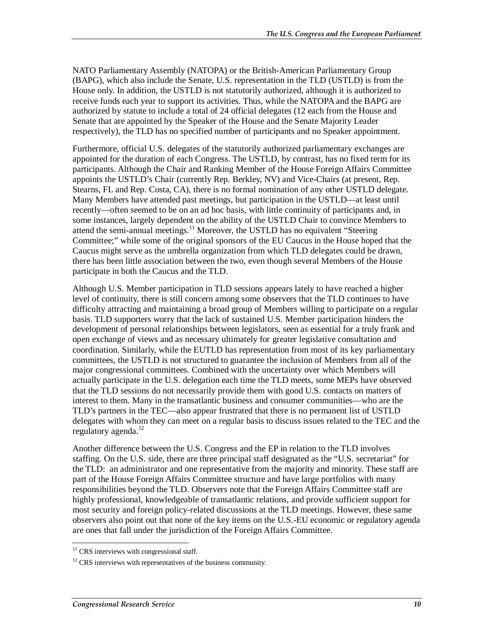NATO Parliamentary Assembly (NATOPA) or the British-American Parliamentary Group (BAPG), which also include the Senate, U.S. representation in the TLD (USTLD) is from the House only. In addition, the USTLD is not statutorily authorized, although it is authorized to receive funds each year to support its activities. Thus, while the NATOPA and the BAPG are authorized by statute to include a total of 24 official delegates (12 each from the House and Senate that are appointed by the Speaker of the House and the Senate Majority Leader respectively), the TLD has no specified number of participants and no Speaker appointment.

Furthermore, official U.S. delegates of the statutorily authorized parliamentary exchanges are appointed for the duration of each Congress. The USTLD, by contrast, has no fixed term for its participants. Although the Chair and Ranking Member of the House Foreign Affairs Committee appoints the USTLD's Chair (currently Rep. Berkley, NV) and Vice-Chairs (at present, Rep. Stearns, FL and Rep. Costa, CA), there is no formal nomination of any other USTLD delegate. Many Members have attended past meetings, but participation in the USTLD—at least until recently—often seemed to be on an ad hoc basis, with little continuity of participants and, in some instances, largely dependent on the ability of the USTLD Chair to convince Members to attend the semi-annual meetings.<sup>11</sup> Moreover, the USTLD has no equivalent "Steering Committee;" while some of the original sponsors of the EU Caucus in the House hoped that the Caucus might serve as the umbrella organization from which TLD delegates could be drawn, there has been little association between the two, even though several Members of the House participate in both the Caucus and the TLD.

Although U.S. Member participation in TLD sessions appears lately to have reached a higher level of continuity, there is still concern among some observers that the TLD continues to have difficulty attracting and maintaining a broad group of Members willing to participate on a regular basis. TLD supporters worry that the lack of sustained U.S. Member participation hinders the development of personal relationships between legislators, seen as essential for a truly frank and open exchange of views and as necessary ultimately for greater legislative consultation and coordination. Similarly, while the EUTLD has representation from most of its key parliamentary committees, the USTLD is not structured to guarantee the inclusion of Members from all of the major congressional committees. Combined with the uncertainty over which Members will actually participate in the U.S. delegation each time the TLD meets, some MEPs have observed that the TLD sessions do not necessarily provide them with good U.S. contacts on matters of interest to them. Many in the transatlantic business and consumer communities—who are the TLD's partners in the TEC—also appear frustrated that there is no permanent list of USTLD delegates with whom they can meet on a regular basis to discuss issues related to the TEC and the regulatory agenda.<sup>12</sup>

Another difference between the U.S. Congress and the EP in relation to the TLD involves staffing. On the U.S. side, there are three principal staff designated as the "U.S. secretariat" for the TLD: an administrator and one representative from the majority and minority. These staff are part of the House Foreign Affairs Committee structure and have large portfolios with many responsibilities beyond the TLD. Observers note that the Foreign Affairs Committee staff are highly professional, knowledgeable of transatlantic relations, and provide sufficient support for most security and foreign policy-related discussions at the TLD meetings. However, these same observers also point out that none of the key items on the U.S.-EU economic or regulatory agenda are ones that fall under the jurisdiction of the Foreign Affairs Committee.

 $\frac{1}{1}$  $11$  CRS interviews with congressional staff.

 $12$  CRS interviews with representatives of the business community.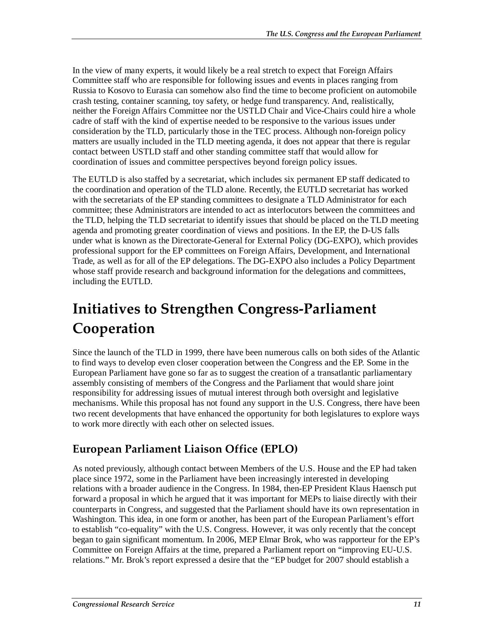In the view of many experts, it would likely be a real stretch to expect that Foreign Affairs Committee staff who are responsible for following issues and events in places ranging from Russia to Kosovo to Eurasia can somehow also find the time to become proficient on automobile crash testing, container scanning, toy safety, or hedge fund transparency. And, realistically, neither the Foreign Affairs Committee nor the USTLD Chair and Vice-Chairs could hire a whole cadre of staff with the kind of expertise needed to be responsive to the various issues under consideration by the TLD, particularly those in the TEC process. Although non-foreign policy matters are usually included in the TLD meeting agenda, it does not appear that there is regular contact between USTLD staff and other standing committee staff that would allow for coordination of issues and committee perspectives beyond foreign policy issues.

The EUTLD is also staffed by a secretariat, which includes six permanent EP staff dedicated to the coordination and operation of the TLD alone. Recently, the EUTLD secretariat has worked with the secretariats of the EP standing committees to designate a TLD Administrator for each committee; these Administrators are intended to act as interlocutors between the committees and the TLD, helping the TLD secretariat to identify issues that should be placed on the TLD meeting agenda and promoting greater coordination of views and positions. In the EP, the D-US falls under what is known as the Directorate-General for External Policy (DG-EXPO), which provides professional support for the EP committees on Foreign Affairs, Development, and International Trade, as well as for all of the EP delegations. The DG-EXPO also includes a Policy Department whose staff provide research and background information for the delegations and committees, including the EUTLD.

## **Initiatives to Strengthen Congress-Parliament Cooperation**

Since the launch of the TLD in 1999, there have been numerous calls on both sides of the Atlantic to find ways to develop even closer cooperation between the Congress and the EP. Some in the European Parliament have gone so far as to suggest the creation of a transatlantic parliamentary assembly consisting of members of the Congress and the Parliament that would share joint responsibility for addressing issues of mutual interest through both oversight and legislative mechanisms. While this proposal has not found any support in the U.S. Congress, there have been two recent developments that have enhanced the opportunity for both legislatures to explore ways to work more directly with each other on selected issues.

### **European Parliament Liaison Office (EPLO)**

As noted previously, although contact between Members of the U.S. House and the EP had taken place since 1972, some in the Parliament have been increasingly interested in developing relations with a broader audience in the Congress. In 1984, then-EP President Klaus Haensch put forward a proposal in which he argued that it was important for MEPs to liaise directly with their counterparts in Congress, and suggested that the Parliament should have its own representation in Washington. This idea, in one form or another, has been part of the European Parliament's effort to establish "co-equality" with the U.S. Congress. However, it was only recently that the concept began to gain significant momentum. In 2006, MEP Elmar Brok, who was rapporteur for the EP's Committee on Foreign Affairs at the time, prepared a Parliament report on "improving EU-U.S. relations." Mr. Brok's report expressed a desire that the "EP budget for 2007 should establish a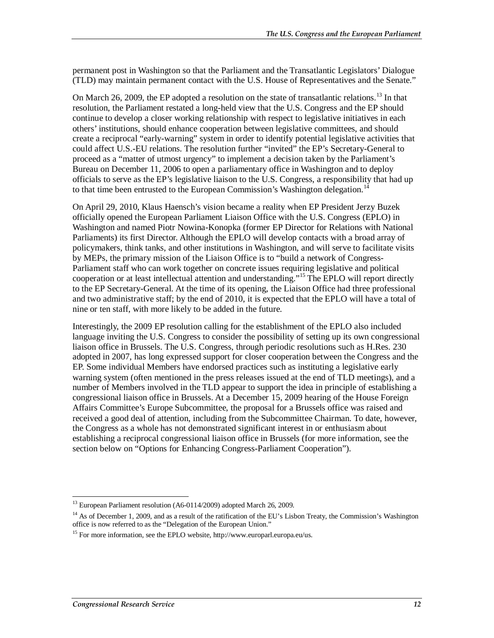permanent post in Washington so that the Parliament and the Transatlantic Legislators' Dialogue (TLD) may maintain permanent contact with the U.S. House of Representatives and the Senate."

On March 26, 2009, the EP adopted a resolution on the state of transatlantic relations.<sup>13</sup> In that resolution, the Parliament restated a long-held view that the U.S. Congress and the EP should continue to develop a closer working relationship with respect to legislative initiatives in each others' institutions, should enhance cooperation between legislative committees, and should create a reciprocal "early-warning" system in order to identify potential legislative activities that could affect U.S.-EU relations. The resolution further "invited" the EP's Secretary-General to proceed as a "matter of utmost urgency" to implement a decision taken by the Parliament's Bureau on December 11, 2006 to open a parliamentary office in Washington and to deploy officials to serve as the EP's legislative liaison to the U.S. Congress, a responsibility that had up to that time been entrusted to the European Commission's Washington delegation.<sup>14</sup>

On April 29, 2010, Klaus Haensch's vision became a reality when EP President Jerzy Buzek officially opened the European Parliament Liaison Office with the U.S. Congress (EPLO) in Washington and named Piotr Nowina-Konopka (former EP Director for Relations with National Parliaments) its first Director. Although the EPLO will develop contacts with a broad array of policymakers, think tanks, and other institutions in Washington, and will serve to facilitate visits by MEPs, the primary mission of the Liaison Office is to "build a network of Congress-Parliament staff who can work together on concrete issues requiring legislative and political cooperation or at least intellectual attention and understanding."15 The EPLO will report directly to the EP Secretary-General. At the time of its opening, the Liaison Office had three professional and two administrative staff; by the end of 2010, it is expected that the EPLO will have a total of nine or ten staff, with more likely to be added in the future.

Interestingly, the 2009 EP resolution calling for the establishment of the EPLO also included language inviting the U.S. Congress to consider the possibility of setting up its own congressional liaison office in Brussels. The U.S. Congress, through periodic resolutions such as H.Res. 230 adopted in 2007, has long expressed support for closer cooperation between the Congress and the EP. Some individual Members have endorsed practices such as instituting a legislative early warning system (often mentioned in the press releases issued at the end of TLD meetings), and a number of Members involved in the TLD appear to support the idea in principle of establishing a congressional liaison office in Brussels. At a December 15, 2009 hearing of the House Foreign Affairs Committee's Europe Subcommittee, the proposal for a Brussels office was raised and received a good deal of attention, including from the Subcommittee Chairman. To date, however, the Congress as a whole has not demonstrated significant interest in or enthusiasm about establishing a reciprocal congressional liaison office in Brussels (for more information, see the section below on "Options for Enhancing Congress-Parliament Cooperation").

<sup>&</sup>lt;u>.</u> <sup>13</sup> European Parliament resolution (A6-0114/2009) adopted March 26, 2009.

 $14$  As of December 1, 2009, and as a result of the ratification of the EU's Lisbon Treaty, the Commission's Washington office is now referred to as the "Delegation of the European Union."

<sup>&</sup>lt;sup>15</sup> For more information, see the EPLO website, http://www.europarl.europa.eu/us.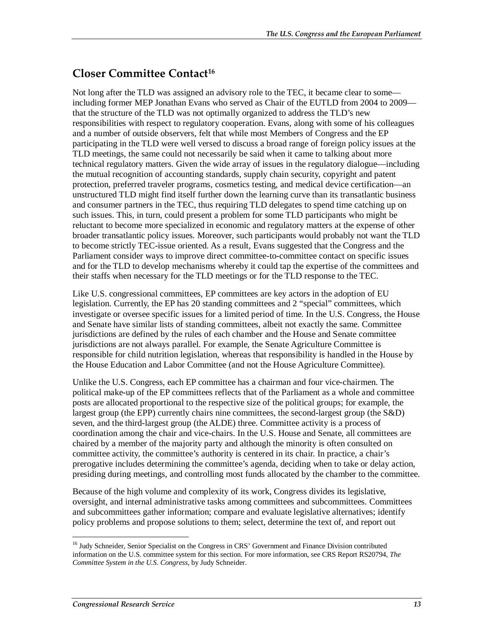#### **Closer Committee Contact16**

Not long after the TLD was assigned an advisory role to the TEC, it became clear to some including former MEP Jonathan Evans who served as Chair of the EUTLD from 2004 to 2009 that the structure of the TLD was not optimally organized to address the TLD's new responsibilities with respect to regulatory cooperation. Evans, along with some of his colleagues and a number of outside observers, felt that while most Members of Congress and the EP participating in the TLD were well versed to discuss a broad range of foreign policy issues at the TLD meetings, the same could not necessarily be said when it came to talking about more technical regulatory matters. Given the wide array of issues in the regulatory dialogue—including the mutual recognition of accounting standards, supply chain security, copyright and patent protection, preferred traveler programs, cosmetics testing, and medical device certification—an unstructured TLD might find itself further down the learning curve than its transatlantic business and consumer partners in the TEC, thus requiring TLD delegates to spend time catching up on such issues. This, in turn, could present a problem for some TLD participants who might be reluctant to become more specialized in economic and regulatory matters at the expense of other broader transatlantic policy issues. Moreover, such participants would probably not want the TLD to become strictly TEC-issue oriented. As a result, Evans suggested that the Congress and the Parliament consider ways to improve direct committee-to-committee contact on specific issues and for the TLD to develop mechanisms whereby it could tap the expertise of the committees and their staffs when necessary for the TLD meetings or for the TLD response to the TEC.

Like U.S. congressional committees, EP committees are key actors in the adoption of EU legislation. Currently, the EP has 20 standing committees and 2 "special" committees, which investigate or oversee specific issues for a limited period of time. In the U.S. Congress, the House and Senate have similar lists of standing committees, albeit not exactly the same. Committee jurisdictions are defined by the rules of each chamber and the House and Senate committee jurisdictions are not always parallel. For example, the Senate Agriculture Committee is responsible for child nutrition legislation, whereas that responsibility is handled in the House by the House Education and Labor Committee (and not the House Agriculture Committee).

Unlike the U.S. Congress, each EP committee has a chairman and four vice-chairmen. The political make-up of the EP committees reflects that of the Parliament as a whole and committee posts are allocated proportional to the respective size of the political groups; for example, the largest group (the EPP) currently chairs nine committees, the second-largest group (the S&D) seven, and the third-largest group (the ALDE) three. Committee activity is a process of coordination among the chair and vice-chairs. In the U.S. House and Senate, all committees are chaired by a member of the majority party and although the minority is often consulted on committee activity, the committee's authority is centered in its chair. In practice, a chair's prerogative includes determining the committee's agenda, deciding when to take or delay action, presiding during meetings, and controlling most funds allocated by the chamber to the committee.

Because of the high volume and complexity of its work, Congress divides its legislative, oversight, and internal administrative tasks among committees and subcommittees. Committees and subcommittees gather information; compare and evaluate legislative alternatives; identify policy problems and propose solutions to them; select, determine the text of, and report out

<sup>-</sup><sup>16</sup> Judy Schneider, Senior Specialist on the Congress in CRS' Government and Finance Division contributed information on the U.S. committee system for this section. For more information, see CRS Report RS20794, *The Committee System in the U.S. Congress*, by Judy Schneider.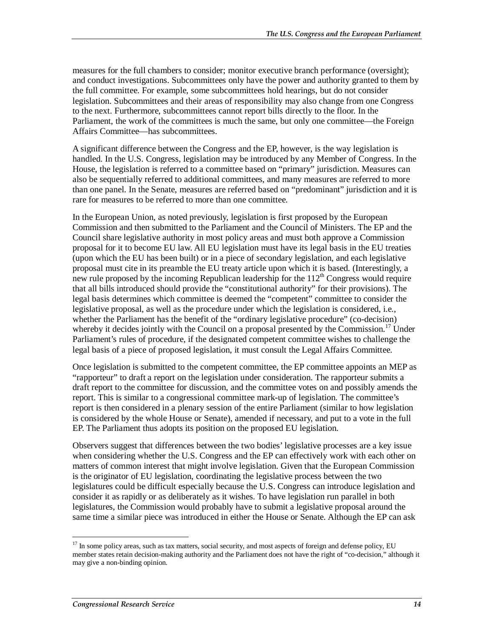measures for the full chambers to consider; monitor executive branch performance (oversight); and conduct investigations. Subcommittees only have the power and authority granted to them by the full committee. For example, some subcommittees hold hearings, but do not consider legislation. Subcommittees and their areas of responsibility may also change from one Congress to the next. Furthermore, subcommittees cannot report bills directly to the floor. In the Parliament, the work of the committees is much the same, but only one committee—the Foreign Affairs Committee—has subcommittees.

A significant difference between the Congress and the EP, however, is the way legislation is handled. In the U.S. Congress, legislation may be introduced by any Member of Congress. In the House, the legislation is referred to a committee based on "primary" jurisdiction. Measures can also be sequentially referred to additional committees, and many measures are referred to more than one panel. In the Senate, measures are referred based on "predominant" jurisdiction and it is rare for measures to be referred to more than one committee.

In the European Union, as noted previously, legislation is first proposed by the European Commission and then submitted to the Parliament and the Council of Ministers. The EP and the Council share legislative authority in most policy areas and must both approve a Commission proposal for it to become EU law. All EU legislation must have its legal basis in the EU treaties (upon which the EU has been built) or in a piece of secondary legislation, and each legislative proposal must cite in its preamble the EU treaty article upon which it is based. (Interestingly, a new rule proposed by the incoming Republican leadership for the  $112<sup>th</sup>$  Congress would require that all bills introduced should provide the "constitutional authority" for their provisions). The legal basis determines which committee is deemed the "competent" committee to consider the legislative proposal, as well as the procedure under which the legislation is considered, i.e., whether the Parliament has the benefit of the "ordinary legislative procedure" (co-decision) whereby it decides jointly with the Council on a proposal presented by the Commission.<sup>17</sup> Under Parliament's rules of procedure, if the designated competent committee wishes to challenge the legal basis of a piece of proposed legislation, it must consult the Legal Affairs Committee.

Once legislation is submitted to the competent committee, the EP committee appoints an MEP as "rapporteur" to draft a report on the legislation under consideration. The rapporteur submits a draft report to the committee for discussion, and the committee votes on and possibly amends the report. This is similar to a congressional committee mark-up of legislation. The committee's report is then considered in a plenary session of the entire Parliament (similar to how legislation is considered by the whole House or Senate), amended if necessary, and put to a vote in the full EP. The Parliament thus adopts its position on the proposed EU legislation.

Observers suggest that differences between the two bodies' legislative processes are a key issue when considering whether the U.S. Congress and the EP can effectively work with each other on matters of common interest that might involve legislation. Given that the European Commission is the originator of EU legislation, coordinating the legislative process between the two legislatures could be difficult especially because the U.S. Congress can introduce legislation and consider it as rapidly or as deliberately as it wishes. To have legislation run parallel in both legislatures, the Commission would probably have to submit a legislative proposal around the same time a similar piece was introduced in either the House or Senate. Although the EP can ask

-

<sup>&</sup>lt;sup>17</sup> In some policy areas, such as tax matters, social security, and most aspects of foreign and defense policy, EU member states retain decision-making authority and the Parliament does not have the right of "co-decision," although it may give a non-binding opinion.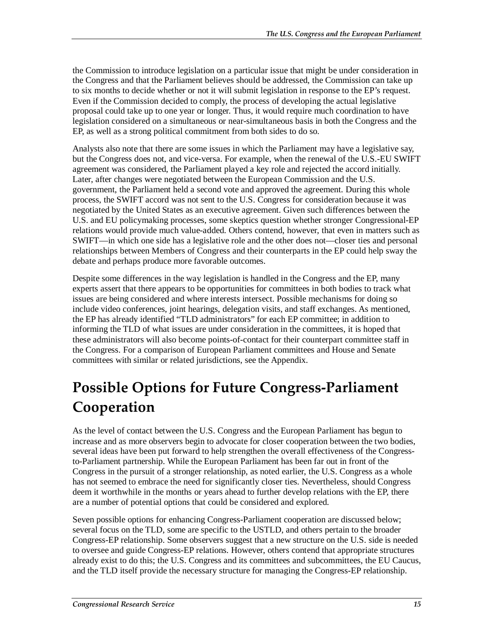the Commission to introduce legislation on a particular issue that might be under consideration in the Congress and that the Parliament believes should be addressed, the Commission can take up to six months to decide whether or not it will submit legislation in response to the EP's request. Even if the Commission decided to comply, the process of developing the actual legislative proposal could take up to one year or longer. Thus, it would require much coordination to have legislation considered on a simultaneous or near-simultaneous basis in both the Congress and the EP, as well as a strong political commitment from both sides to do so.

Analysts also note that there are some issues in which the Parliament may have a legislative say, but the Congress does not, and vice-versa. For example, when the renewal of the U.S.-EU SWIFT agreement was considered, the Parliament played a key role and rejected the accord initially. Later, after changes were negotiated between the European Commission and the U.S. government, the Parliament held a second vote and approved the agreement. During this whole process, the SWIFT accord was not sent to the U.S. Congress for consideration because it was negotiated by the United States as an executive agreement. Given such differences between the U.S. and EU policymaking processes, some skeptics question whether stronger Congressional-EP relations would provide much value-added. Others contend, however, that even in matters such as SWIFT—in which one side has a legislative role and the other does not—closer ties and personal relationships between Members of Congress and their counterparts in the EP could help sway the debate and perhaps produce more favorable outcomes.

Despite some differences in the way legislation is handled in the Congress and the EP, many experts assert that there appears to be opportunities for committees in both bodies to track what issues are being considered and where interests intersect. Possible mechanisms for doing so include video conferences, joint hearings, delegation visits, and staff exchanges. As mentioned, the EP has already identified "TLD administrators" for each EP committee; in addition to informing the TLD of what issues are under consideration in the committees, it is hoped that these administrators will also become points-of-contact for their counterpart committee staff in the Congress. For a comparison of European Parliament committees and House and Senate committees with similar or related jurisdictions, see the Appendix.

### **Possible Options for Future Congress-Parliament Cooperation**

As the level of contact between the U.S. Congress and the European Parliament has begun to increase and as more observers begin to advocate for closer cooperation between the two bodies, several ideas have been put forward to help strengthen the overall effectiveness of the Congressto-Parliament partnership. While the European Parliament has been far out in front of the Congress in the pursuit of a stronger relationship, as noted earlier, the U.S. Congress as a whole has not seemed to embrace the need for significantly closer ties. Nevertheless, should Congress deem it worthwhile in the months or years ahead to further develop relations with the EP, there are a number of potential options that could be considered and explored.

Seven possible options for enhancing Congress-Parliament cooperation are discussed below; several focus on the TLD, some are specific to the USTLD, and others pertain to the broader Congress-EP relationship. Some observers suggest that a new structure on the U.S. side is needed to oversee and guide Congress-EP relations. However, others contend that appropriate structures already exist to do this; the U.S. Congress and its committees and subcommittees, the EU Caucus, and the TLD itself provide the necessary structure for managing the Congress-EP relationship.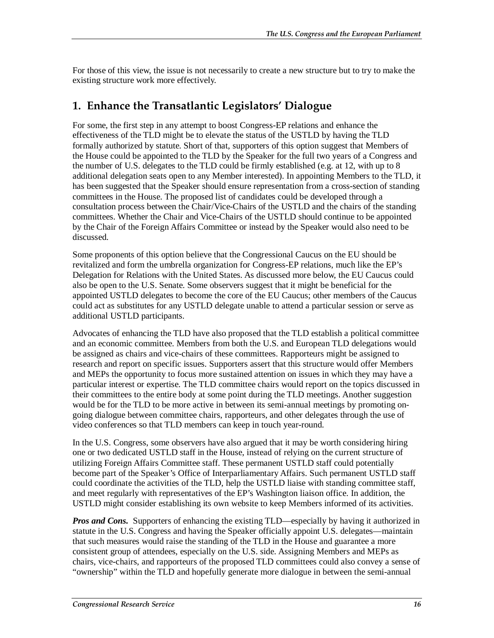For those of this view, the issue is not necessarily to create a new structure but to try to make the existing structure work more effectively.

#### **1. Enhance the Transatlantic Legislators' Dialogue**

For some, the first step in any attempt to boost Congress-EP relations and enhance the effectiveness of the TLD might be to elevate the status of the USTLD by having the TLD formally authorized by statute. Short of that, supporters of this option suggest that Members of the House could be appointed to the TLD by the Speaker for the full two years of a Congress and the number of U.S. delegates to the TLD could be firmly established (e.g. at 12, with up to 8 additional delegation seats open to any Member interested). In appointing Members to the TLD, it has been suggested that the Speaker should ensure representation from a cross-section of standing committees in the House. The proposed list of candidates could be developed through a consultation process between the Chair/Vice-Chairs of the USTLD and the chairs of the standing committees. Whether the Chair and Vice-Chairs of the USTLD should continue to be appointed by the Chair of the Foreign Affairs Committee or instead by the Speaker would also need to be discussed.

Some proponents of this option believe that the Congressional Caucus on the EU should be revitalized and form the umbrella organization for Congress-EP relations, much like the EP's Delegation for Relations with the United States. As discussed more below, the EU Caucus could also be open to the U.S. Senate. Some observers suggest that it might be beneficial for the appointed USTLD delegates to become the core of the EU Caucus; other members of the Caucus could act as substitutes for any USTLD delegate unable to attend a particular session or serve as additional USTLD participants.

Advocates of enhancing the TLD have also proposed that the TLD establish a political committee and an economic committee. Members from both the U.S. and European TLD delegations would be assigned as chairs and vice-chairs of these committees. Rapporteurs might be assigned to research and report on specific issues. Supporters assert that this structure would offer Members and MEPs the opportunity to focus more sustained attention on issues in which they may have a particular interest or expertise. The TLD committee chairs would report on the topics discussed in their committees to the entire body at some point during the TLD meetings. Another suggestion would be for the TLD to be more active in between its semi-annual meetings by promoting ongoing dialogue between committee chairs, rapporteurs, and other delegates through the use of video conferences so that TLD members can keep in touch year-round.

In the U.S. Congress, some observers have also argued that it may be worth considering hiring one or two dedicated USTLD staff in the House, instead of relying on the current structure of utilizing Foreign Affairs Committee staff. These permanent USTLD staff could potentially become part of the Speaker's Office of Interparliamentary Affairs. Such permanent USTLD staff could coordinate the activities of the TLD, help the USTLD liaise with standing committee staff, and meet regularly with representatives of the EP's Washington liaison office. In addition, the USTLD might consider establishing its own website to keep Members informed of its activities.

*Pros and Cons.* Supporters of enhancing the existing TLD—especially by having it authorized in statute in the U.S. Congress and having the Speaker officially appoint U.S. delegates—maintain that such measures would raise the standing of the TLD in the House and guarantee a more consistent group of attendees, especially on the U.S. side. Assigning Members and MEPs as chairs, vice-chairs, and rapporteurs of the proposed TLD committees could also convey a sense of "ownership" within the TLD and hopefully generate more dialogue in between the semi-annual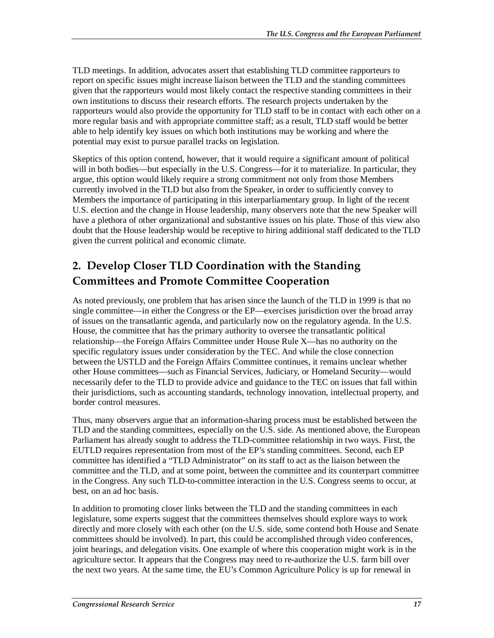TLD meetings. In addition, advocates assert that establishing TLD committee rapporteurs to report on specific issues might increase liaison between the TLD and the standing committees given that the rapporteurs would most likely contact the respective standing committees in their own institutions to discuss their research efforts. The research projects undertaken by the rapporteurs would also provide the opportunity for TLD staff to be in contact with each other on a more regular basis and with appropriate committee staff; as a result, TLD staff would be better able to help identify key issues on which both institutions may be working and where the potential may exist to pursue parallel tracks on legislation.

Skeptics of this option contend, however, that it would require a significant amount of political will in both bodies—but especially in the U.S. Congress—for it to materialize. In particular, they argue, this option would likely require a strong commitment not only from those Members currently involved in the TLD but also from the Speaker, in order to sufficiently convey to Members the importance of participating in this interparliamentary group. In light of the recent U.S. election and the change in House leadership, many observers note that the new Speaker will have a plethora of other organizational and substantive issues on his plate. Those of this view also doubt that the House leadership would be receptive to hiring additional staff dedicated to the TLD given the current political and economic climate.

#### **2. Develop Closer TLD Coordination with the Standing Committees and Promote Committee Cooperation**

As noted previously, one problem that has arisen since the launch of the TLD in 1999 is that no single committee—in either the Congress or the EP—exercises jurisdiction over the broad array of issues on the transatlantic agenda, and particularly now on the regulatory agenda. In the U.S. House, the committee that has the primary authority to oversee the transatlantic political relationship—the Foreign Affairs Committee under House Rule X—has no authority on the specific regulatory issues under consideration by the TEC. And while the close connection between the USTLD and the Foreign Affairs Committee continues, it remains unclear whether other House committees—such as Financial Services, Judiciary, or Homeland Security—would necessarily defer to the TLD to provide advice and guidance to the TEC on issues that fall within their jurisdictions, such as accounting standards, technology innovation, intellectual property, and border control measures.

Thus, many observers argue that an information-sharing process must be established between the TLD and the standing committees, especially on the U.S. side. As mentioned above, the European Parliament has already sought to address the TLD-committee relationship in two ways. First, the EUTLD requires representation from most of the EP's standing committees. Second, each EP committee has identified a "TLD Administrator" on its staff to act as the liaison between the committee and the TLD, and at some point, between the committee and its counterpart committee in the Congress. Any such TLD-to-committee interaction in the U.S. Congress seems to occur, at best, on an ad hoc basis.

In addition to promoting closer links between the TLD and the standing committees in each legislature, some experts suggest that the committees themselves should explore ways to work directly and more closely with each other (on the U.S. side, some contend both House and Senate committees should be involved). In part, this could be accomplished through video conferences, joint hearings, and delegation visits. One example of where this cooperation might work is in the agriculture sector. It appears that the Congress may need to re-authorize the U.S. farm bill over the next two years. At the same time, the EU's Common Agriculture Policy is up for renewal in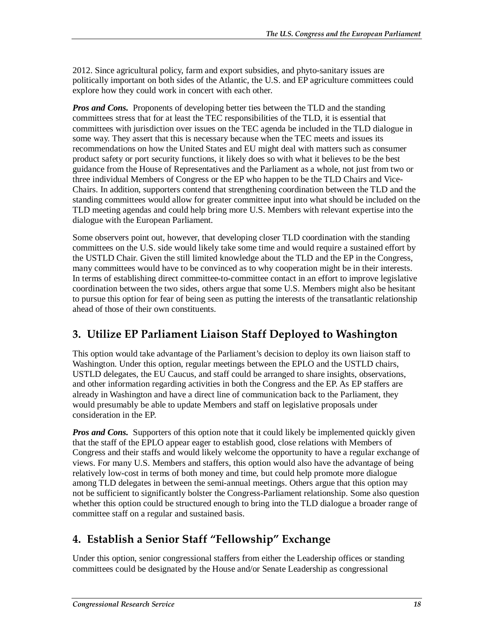2012. Since agricultural policy, farm and export subsidies, and phyto-sanitary issues are politically important on both sides of the Atlantic, the U.S. and EP agriculture committees could explore how they could work in concert with each other.

*Pros and Cons.* Proponents of developing better ties between the TLD and the standing committees stress that for at least the TEC responsibilities of the TLD, it is essential that committees with jurisdiction over issues on the TEC agenda be included in the TLD dialogue in some way. They assert that this is necessary because when the TEC meets and issues its recommendations on how the United States and EU might deal with matters such as consumer product safety or port security functions, it likely does so with what it believes to be the best guidance from the House of Representatives and the Parliament as a whole, not just from two or three individual Members of Congress or the EP who happen to be the TLD Chairs and Vice-Chairs. In addition, supporters contend that strengthening coordination between the TLD and the standing committees would allow for greater committee input into what should be included on the TLD meeting agendas and could help bring more U.S. Members with relevant expertise into the dialogue with the European Parliament.

Some observers point out, however, that developing closer TLD coordination with the standing committees on the U.S. side would likely take some time and would require a sustained effort by the USTLD Chair. Given the still limited knowledge about the TLD and the EP in the Congress, many committees would have to be convinced as to why cooperation might be in their interests. In terms of establishing direct committee-to-committee contact in an effort to improve legislative coordination between the two sides, others argue that some U.S. Members might also be hesitant to pursue this option for fear of being seen as putting the interests of the transatlantic relationship ahead of those of their own constituents.

#### **3. Utilize EP Parliament Liaison Staff Deployed to Washington**

This option would take advantage of the Parliament's decision to deploy its own liaison staff to Washington. Under this option, regular meetings between the EPLO and the USTLD chairs, USTLD delegates, the EU Caucus, and staff could be arranged to share insights, observations, and other information regarding activities in both the Congress and the EP. As EP staffers are already in Washington and have a direct line of communication back to the Parliament, they would presumably be able to update Members and staff on legislative proposals under consideration in the EP.

*Pros and Cons.* Supporters of this option note that it could likely be implemented quickly given that the staff of the EPLO appear eager to establish good, close relations with Members of Congress and their staffs and would likely welcome the opportunity to have a regular exchange of views. For many U.S. Members and staffers, this option would also have the advantage of being relatively low-cost in terms of both money and time, but could help promote more dialogue among TLD delegates in between the semi-annual meetings. Others argue that this option may not be sufficient to significantly bolster the Congress-Parliament relationship. Some also question whether this option could be structured enough to bring into the TLD dialogue a broader range of committee staff on a regular and sustained basis.

#### **4. Establish a Senior Staff "Fellowship" Exchange**

Under this option, senior congressional staffers from either the Leadership offices or standing committees could be designated by the House and/or Senate Leadership as congressional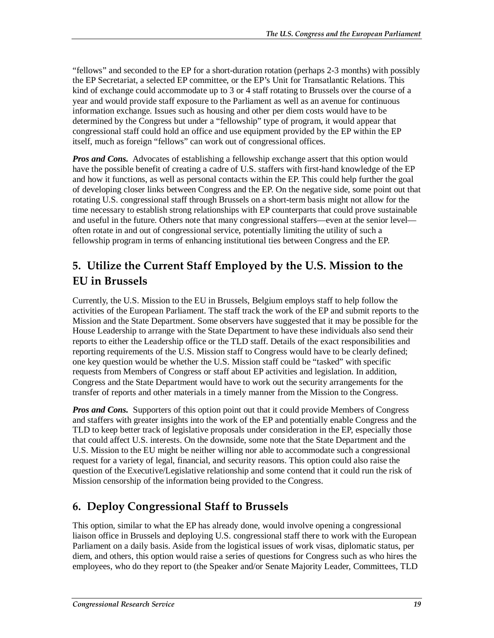"fellows" and seconded to the EP for a short-duration rotation (perhaps 2-3 months) with possibly the EP Secretariat, a selected EP committee, or the EP's Unit for Transatlantic Relations. This kind of exchange could accommodate up to 3 or 4 staff rotating to Brussels over the course of a year and would provide staff exposure to the Parliament as well as an avenue for continuous information exchange. Issues such as housing and other per diem costs would have to be determined by the Congress but under a "fellowship" type of program, it would appear that congressional staff could hold an office and use equipment provided by the EP within the EP itself, much as foreign "fellows" can work out of congressional offices.

*Pros and Cons.* Advocates of establishing a fellowship exchange assert that this option would have the possible benefit of creating a cadre of U.S. staffers with first-hand knowledge of the EP and how it functions, as well as personal contacts within the EP. This could help further the goal of developing closer links between Congress and the EP. On the negative side, some point out that rotating U.S. congressional staff through Brussels on a short-term basis might not allow for the time necessary to establish strong relationships with EP counterparts that could prove sustainable and useful in the future. Others note that many congressional staffers—even at the senior level often rotate in and out of congressional service, potentially limiting the utility of such a fellowship program in terms of enhancing institutional ties between Congress and the EP.

#### **5. Utilize the Current Staff Employed by the U.S. Mission to the EU in Brussels**

Currently, the U.S. Mission to the EU in Brussels, Belgium employs staff to help follow the activities of the European Parliament. The staff track the work of the EP and submit reports to the Mission and the State Department. Some observers have suggested that it may be possible for the House Leadership to arrange with the State Department to have these individuals also send their reports to either the Leadership office or the TLD staff. Details of the exact responsibilities and reporting requirements of the U.S. Mission staff to Congress would have to be clearly defined; one key question would be whether the U.S. Mission staff could be "tasked" with specific requests from Members of Congress or staff about EP activities and legislation. In addition, Congress and the State Department would have to work out the security arrangements for the transfer of reports and other materials in a timely manner from the Mission to the Congress.

*Pros and Cons.* Supporters of this option point out that it could provide Members of Congress and staffers with greater insights into the work of the EP and potentially enable Congress and the TLD to keep better track of legislative proposals under consideration in the EP, especially those that could affect U.S. interests. On the downside, some note that the State Department and the U.S. Mission to the EU might be neither willing nor able to accommodate such a congressional request for a variety of legal, financial, and security reasons. This option could also raise the question of the Executive/Legislative relationship and some contend that it could run the risk of Mission censorship of the information being provided to the Congress.

#### **6. Deploy Congressional Staff to Brussels**

This option, similar to what the EP has already done, would involve opening a congressional liaison office in Brussels and deploying U.S. congressional staff there to work with the European Parliament on a daily basis. Aside from the logistical issues of work visas, diplomatic status, per diem, and others, this option would raise a series of questions for Congress such as who hires the employees, who do they report to (the Speaker and/or Senate Majority Leader, Committees, TLD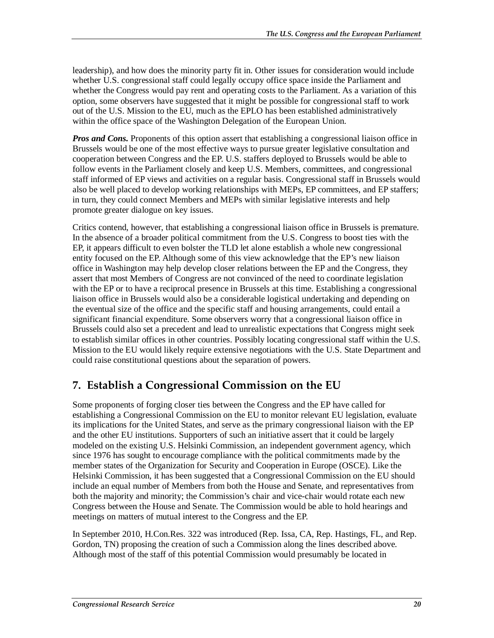leadership), and how does the minority party fit in. Other issues for consideration would include whether U.S. congressional staff could legally occupy office space inside the Parliament and whether the Congress would pay rent and operating costs to the Parliament. As a variation of this option, some observers have suggested that it might be possible for congressional staff to work out of the U.S. Mission to the EU, much as the EPLO has been established administratively within the office space of the Washington Delegation of the European Union.

*Pros and Cons.* Proponents of this option assert that establishing a congressional liaison office in Brussels would be one of the most effective ways to pursue greater legislative consultation and cooperation between Congress and the EP. U.S. staffers deployed to Brussels would be able to follow events in the Parliament closely and keep U.S. Members, committees, and congressional staff informed of EP views and activities on a regular basis. Congressional staff in Brussels would also be well placed to develop working relationships with MEPs, EP committees, and EP staffers; in turn, they could connect Members and MEPs with similar legislative interests and help promote greater dialogue on key issues.

Critics contend, however, that establishing a congressional liaison office in Brussels is premature. In the absence of a broader political commitment from the U.S. Congress to boost ties with the EP, it appears difficult to even bolster the TLD let alone establish a whole new congressional entity focused on the EP. Although some of this view acknowledge that the EP's new liaison office in Washington may help develop closer relations between the EP and the Congress, they assert that most Members of Congress are not convinced of the need to coordinate legislation with the EP or to have a reciprocal presence in Brussels at this time. Establishing a congressional liaison office in Brussels would also be a considerable logistical undertaking and depending on the eventual size of the office and the specific staff and housing arrangements, could entail a significant financial expenditure. Some observers worry that a congressional liaison office in Brussels could also set a precedent and lead to unrealistic expectations that Congress might seek to establish similar offices in other countries. Possibly locating congressional staff within the U.S. Mission to the EU would likely require extensive negotiations with the U.S. State Department and could raise constitutional questions about the separation of powers.

#### **7. Establish a Congressional Commission on the EU**

Some proponents of forging closer ties between the Congress and the EP have called for establishing a Congressional Commission on the EU to monitor relevant EU legislation, evaluate its implications for the United States, and serve as the primary congressional liaison with the EP and the other EU institutions. Supporters of such an initiative assert that it could be largely modeled on the existing U.S. Helsinki Commission, an independent government agency, which since 1976 has sought to encourage compliance with the political commitments made by the member states of the Organization for Security and Cooperation in Europe (OSCE). Like the Helsinki Commission, it has been suggested that a Congressional Commission on the EU should include an equal number of Members from both the House and Senate, and representatives from both the majority and minority; the Commission's chair and vice-chair would rotate each new Congress between the House and Senate. The Commission would be able to hold hearings and meetings on matters of mutual interest to the Congress and the EP.

In September 2010, H.Con.Res. 322 was introduced (Rep. Issa, CA, Rep. Hastings, FL, and Rep. Gordon, TN) proposing the creation of such a Commission along the lines described above. Although most of the staff of this potential Commission would presumably be located in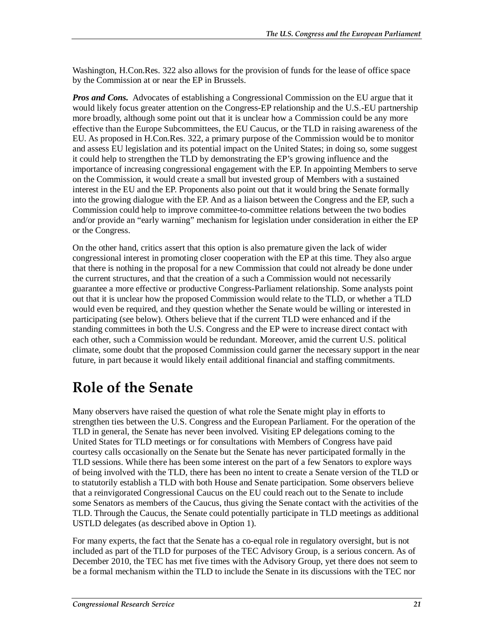Washington, H.Con.Res. 322 also allows for the provision of funds for the lease of office space by the Commission at or near the EP in Brussels.

*Pros and Cons.* Advocates of establishing a Congressional Commission on the EU argue that it would likely focus greater attention on the Congress-EP relationship and the U.S.-EU partnership more broadly, although some point out that it is unclear how a Commission could be any more effective than the Europe Subcommittees, the EU Caucus, or the TLD in raising awareness of the EU. As proposed in H.Con.Res. 322, a primary purpose of the Commission would be to monitor and assess EU legislation and its potential impact on the United States; in doing so, some suggest it could help to strengthen the TLD by demonstrating the EP's growing influence and the importance of increasing congressional engagement with the EP. In appointing Members to serve on the Commission, it would create a small but invested group of Members with a sustained interest in the EU and the EP. Proponents also point out that it would bring the Senate formally into the growing dialogue with the EP. And as a liaison between the Congress and the EP, such a Commission could help to improve committee-to-committee relations between the two bodies and/or provide an "early warning" mechanism for legislation under consideration in either the EP or the Congress.

On the other hand, critics assert that this option is also premature given the lack of wider congressional interest in promoting closer cooperation with the EP at this time. They also argue that there is nothing in the proposal for a new Commission that could not already be done under the current structures, and that the creation of a such a Commission would not necessarily guarantee a more effective or productive Congress-Parliament relationship. Some analysts point out that it is unclear how the proposed Commission would relate to the TLD, or whether a TLD would even be required, and they question whether the Senate would be willing or interested in participating (see below). Others believe that if the current TLD were enhanced and if the standing committees in both the U.S. Congress and the EP were to increase direct contact with each other, such a Commission would be redundant. Moreover, amid the current U.S. political climate, some doubt that the proposed Commission could garner the necessary support in the near future, in part because it would likely entail additional financial and staffing commitments.

### **Role of the Senate**

Many observers have raised the question of what role the Senate might play in efforts to strengthen ties between the U.S. Congress and the European Parliament. For the operation of the TLD in general, the Senate has never been involved. Visiting EP delegations coming to the United States for TLD meetings or for consultations with Members of Congress have paid courtesy calls occasionally on the Senate but the Senate has never participated formally in the TLD sessions. While there has been some interest on the part of a few Senators to explore ways of being involved with the TLD, there has been no intent to create a Senate version of the TLD or to statutorily establish a TLD with both House and Senate participation. Some observers believe that a reinvigorated Congressional Caucus on the EU could reach out to the Senate to include some Senators as members of the Caucus, thus giving the Senate contact with the activities of the TLD. Through the Caucus, the Senate could potentially participate in TLD meetings as additional USTLD delegates (as described above in Option 1).

For many experts, the fact that the Senate has a co-equal role in regulatory oversight, but is not included as part of the TLD for purposes of the TEC Advisory Group, is a serious concern. As of December 2010, the TEC has met five times with the Advisory Group, yet there does not seem to be a formal mechanism within the TLD to include the Senate in its discussions with the TEC nor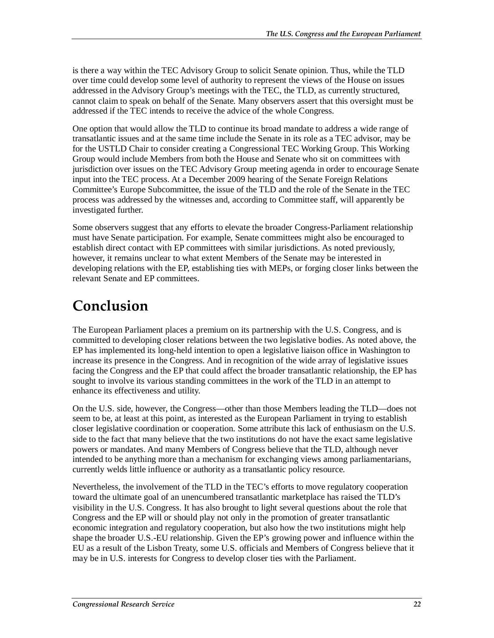is there a way within the TEC Advisory Group to solicit Senate opinion. Thus, while the TLD over time could develop some level of authority to represent the views of the House on issues addressed in the Advisory Group's meetings with the TEC, the TLD, as currently structured, cannot claim to speak on behalf of the Senate. Many observers assert that this oversight must be addressed if the TEC intends to receive the advice of the whole Congress.

One option that would allow the TLD to continue its broad mandate to address a wide range of transatlantic issues and at the same time include the Senate in its role as a TEC advisor, may be for the USTLD Chair to consider creating a Congressional TEC Working Group. This Working Group would include Members from both the House and Senate who sit on committees with jurisdiction over issues on the TEC Advisory Group meeting agenda in order to encourage Senate input into the TEC process. At a December 2009 hearing of the Senate Foreign Relations Committee's Europe Subcommittee, the issue of the TLD and the role of the Senate in the TEC process was addressed by the witnesses and, according to Committee staff, will apparently be investigated further.

Some observers suggest that any efforts to elevate the broader Congress-Parliament relationship must have Senate participation. For example, Senate committees might also be encouraged to establish direct contact with EP committees with similar jurisdictions. As noted previously, however, it remains unclear to what extent Members of the Senate may be interested in developing relations with the EP, establishing ties with MEPs, or forging closer links between the relevant Senate and EP committees.

### **Conclusion**

The European Parliament places a premium on its partnership with the U.S. Congress, and is committed to developing closer relations between the two legislative bodies. As noted above, the EP has implemented its long-held intention to open a legislative liaison office in Washington to increase its presence in the Congress. And in recognition of the wide array of legislative issues facing the Congress and the EP that could affect the broader transatlantic relationship, the EP has sought to involve its various standing committees in the work of the TLD in an attempt to enhance its effectiveness and utility.

On the U.S. side, however, the Congress—other than those Members leading the TLD—does not seem to be, at least at this point, as interested as the European Parliament in trying to establish closer legislative coordination or cooperation. Some attribute this lack of enthusiasm on the U.S. side to the fact that many believe that the two institutions do not have the exact same legislative powers or mandates. And many Members of Congress believe that the TLD, although never intended to be anything more than a mechanism for exchanging views among parliamentarians, currently welds little influence or authority as a transatlantic policy resource.

Nevertheless, the involvement of the TLD in the TEC's efforts to move regulatory cooperation toward the ultimate goal of an unencumbered transatlantic marketplace has raised the TLD's visibility in the U.S. Congress. It has also brought to light several questions about the role that Congress and the EP will or should play not only in the promotion of greater transatlantic economic integration and regulatory cooperation, but also how the two institutions might help shape the broader U.S.-EU relationship. Given the EP's growing power and influence within the EU as a result of the Lisbon Treaty, some U.S. officials and Members of Congress believe that it may be in U.S. interests for Congress to develop closer ties with the Parliament.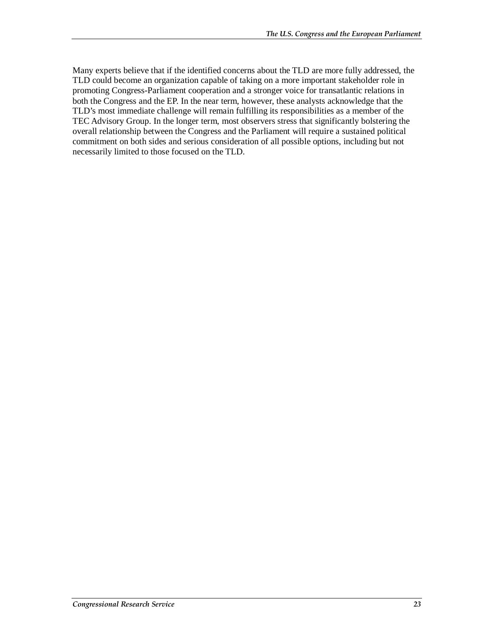Many experts believe that if the identified concerns about the TLD are more fully addressed, the TLD could become an organization capable of taking on a more important stakeholder role in promoting Congress-Parliament cooperation and a stronger voice for transatlantic relations in both the Congress and the EP. In the near term, however, these analysts acknowledge that the TLD's most immediate challenge will remain fulfilling its responsibilities as a member of the TEC Advisory Group. In the longer term, most observers stress that significantly bolstering the overall relationship between the Congress and the Parliament will require a sustained political commitment on both sides and serious consideration of all possible options, including but not necessarily limited to those focused on the TLD.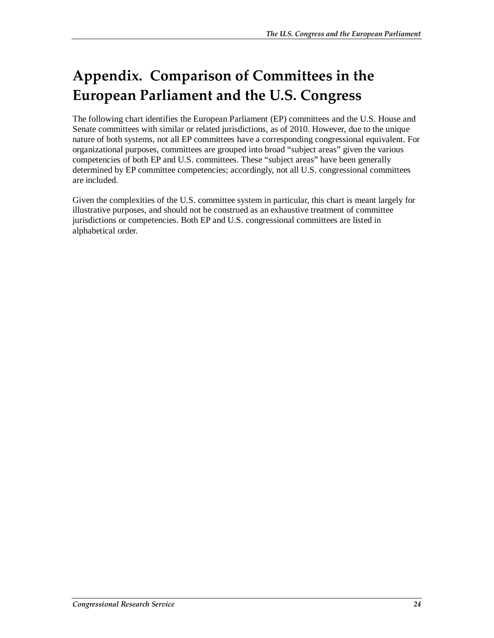## **Appendix. Comparison of Committees in the European Parliament and the U.S. Congress**

The following chart identifies the European Parliament (EP) committees and the U.S. House and Senate committees with similar or related jurisdictions, as of 2010. However, due to the unique nature of both systems, not all EP committees have a corresponding congressional equivalent. For organizational purposes, committees are grouped into broad "subject areas" given the various competencies of both EP and U.S. committees. These "subject areas" have been generally determined by EP committee competencies; accordingly, not all U.S. congressional committees are included.

Given the complexities of the U.S. committee system in particular, this chart is meant largely for illustrative purposes, and should not be construed as an exhaustive treatment of committee jurisdictions or competencies. Both EP and U.S. congressional committees are listed in alphabetical order.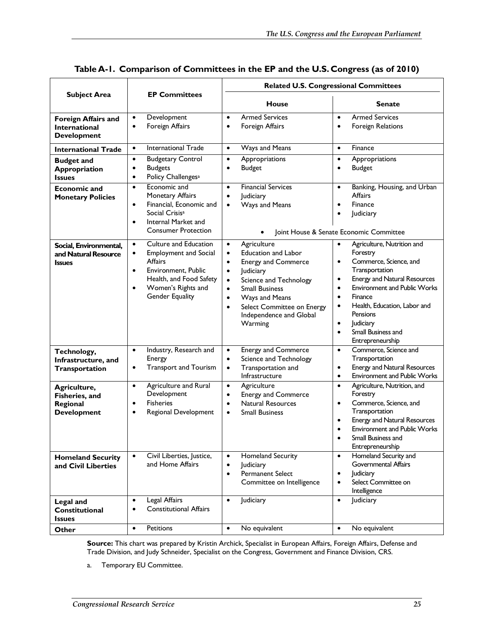|                                                                          | <b>EP Committees</b>                                                                                                                                                                                                   | <b>Related U.S. Congressional Committees</b>                                                                                                                                                                                                                                                                                          |                                                                                                                                                                                                                                                                                                                                                                                        |  |
|--------------------------------------------------------------------------|------------------------------------------------------------------------------------------------------------------------------------------------------------------------------------------------------------------------|---------------------------------------------------------------------------------------------------------------------------------------------------------------------------------------------------------------------------------------------------------------------------------------------------------------------------------------|----------------------------------------------------------------------------------------------------------------------------------------------------------------------------------------------------------------------------------------------------------------------------------------------------------------------------------------------------------------------------------------|--|
| <b>Subject Area</b>                                                      |                                                                                                                                                                                                                        | <b>House</b>                                                                                                                                                                                                                                                                                                                          | Senate                                                                                                                                                                                                                                                                                                                                                                                 |  |
| <b>Foreign Affairs and</b><br><b>International</b><br><b>Development</b> | Development<br>$\bullet$<br>Foreign Affairs<br>$\bullet$                                                                                                                                                               | <b>Armed Services</b><br>$\bullet$<br>Foreign Affairs<br>$\bullet$                                                                                                                                                                                                                                                                    | <b>Armed Services</b><br>$\bullet$<br>Foreign Relations<br>$\bullet$                                                                                                                                                                                                                                                                                                                   |  |
| <b>International Trade</b>                                               | <b>International Trade</b><br>$\bullet$                                                                                                                                                                                | Ways and Means<br>$\bullet$                                                                                                                                                                                                                                                                                                           | Finance<br>$\bullet$                                                                                                                                                                                                                                                                                                                                                                   |  |
| <b>Budget and</b><br><b>Appropriation</b><br><b>Issues</b>               | <b>Budgetary Control</b><br>$\bullet$<br><b>Budgets</b><br>٠<br>Policy Challenges <sup>a</sup><br>$\bullet$                                                                                                            | Appropriations<br>$\bullet$<br><b>Budget</b><br>$\bullet$                                                                                                                                                                                                                                                                             | Appropriations<br>$\bullet$<br><b>Budget</b><br>$\bullet$                                                                                                                                                                                                                                                                                                                              |  |
| <b>Economic and</b><br><b>Monetary Policies</b>                          | Economic and<br>$\bullet$<br>Monetary Affairs<br>Financial, Economic and<br>$\bullet$<br>Social Crisis <sup>a</sup><br>Internal Market and<br>$\bullet$<br><b>Consumer Protection</b>                                  | <b>Financial Services</b><br>$\bullet$<br>Judiciary<br>$\bullet$<br>Ways and Means<br>$\bullet$                                                                                                                                                                                                                                       | Banking, Housing, and Urban<br>$\bullet$<br><b>Affairs</b><br>Finance<br>$\bullet$<br>Judiciary<br>$\bullet$<br>Joint House & Senate Economic Committee                                                                                                                                                                                                                                |  |
| Social, Environmental,<br>and Natural Resource<br><b>Issues</b>          | <b>Culture and Education</b><br>$\bullet$<br><b>Employment and Social</b><br>$\bullet$<br>Affairs<br>Environment, Public<br>$\bullet$<br>Health, and Food Safety<br>Women's Rights and<br>$\bullet$<br>Gender Equality | Agriculture<br>$\bullet$<br><b>Education and Labor</b><br>$\bullet$<br><b>Energy and Commerce</b><br>$\bullet$<br>Judiciary<br>$\bullet$<br>Science and Technology<br>$\bullet$<br><b>Small Business</b><br>$\bullet$<br>Ways and Means<br>$\bullet$<br>Select Committee on Energy<br>$\bullet$<br>Independence and Global<br>Warming | Agriculture, Nutrition and<br>$\bullet$<br>Forestry<br>Commerce, Science, and<br>$\bullet$<br>Transportation<br><b>Energy and Natural Resources</b><br>$\bullet$<br><b>Environment and Public Works</b><br>$\bullet$<br>Finance<br>$\bullet$<br>Health, Education, Labor and<br>$\bullet$<br>Pensions<br>Judiciary<br>$\bullet$<br>Small Business and<br>$\bullet$<br>Entrepreneurship |  |
| Technology,<br>Infrastructure, and<br>Transportation                     | Industry, Research and<br>$\bullet$<br>Energy<br><b>Transport and Tourism</b><br>$\bullet$                                                                                                                             | Energy and Commerce<br>$\bullet$<br>Science and Technology<br>$\bullet$<br>Transportation and<br>$\bullet$<br>Infrastructure                                                                                                                                                                                                          | Commerce, Science and<br>$\bullet$<br>Transportation<br>Energy and Natural Resources<br>$\bullet$<br><b>Environment and Public Works</b><br>$\bullet$                                                                                                                                                                                                                                  |  |
| Agriculture,<br>Fisheries, and<br>Regional<br><b>Development</b>         | <b>Agriculture and Rural</b><br>$\bullet$<br>Development<br><b>Fisheries</b><br>$\bullet$<br>Regional Development<br>$\bullet$                                                                                         | Agriculture<br>$\bullet$<br><b>Energy and Commerce</b><br>$\bullet$<br><b>Natural Resources</b><br>$\bullet$<br><b>Small Business</b><br>$\bullet$                                                                                                                                                                                    | Agriculture, Nutrition, and<br>$\bullet$<br>Forestry<br>Commerce, Science, and<br>$\bullet$<br>Transportation<br>Energy and Natural Resources<br>$\bullet$<br><b>Environment and Public Works</b><br>$\bullet$<br>Small Business and<br>Entrepreneurship                                                                                                                               |  |
| <b>Homeland Security</b><br>and Civil Liberties                          | Civil Liberties, Justice,<br>$\bullet$<br>and Home Affairs                                                                                                                                                             | <b>Homeland Security</b><br>$\bullet$<br>Judiciary<br>$\bullet$<br><b>Permanent Select</b><br>$\bullet$<br>Committee on Intelligence                                                                                                                                                                                                  | Homeland Security and<br>$\bullet$<br><b>Governmental Affairs</b><br>Judiciary<br>$\bullet$<br>Select Committee on<br>$\bullet$<br>Intelligence                                                                                                                                                                                                                                        |  |
| <b>Legal</b> and<br>Constitutional<br><b>Issues</b>                      | <b>Legal Affairs</b><br>$\bullet$<br><b>Constitutional Affairs</b><br>$\bullet$                                                                                                                                        | Judiciary<br>$\bullet$                                                                                                                                                                                                                                                                                                                | Judiciary<br>$\bullet$                                                                                                                                                                                                                                                                                                                                                                 |  |
| Other                                                                    | Petitions<br>$\bullet$                                                                                                                                                                                                 | No equivalent<br>$\bullet$                                                                                                                                                                                                                                                                                                            | No equivalent<br>$\bullet$                                                                                                                                                                                                                                                                                                                                                             |  |

**Table A-1. Comparison of Committees in the EP and the U.S. Congress (as of 2010)** 

**Source:** This chart was prepared by Kristin Archick, Specialist in European Affairs, Foreign Affairs, Defense and Trade Division, and Judy Schneider, Specialist on the Congress, Government and Finance Division, CRS.

a. Temporary EU Committee.